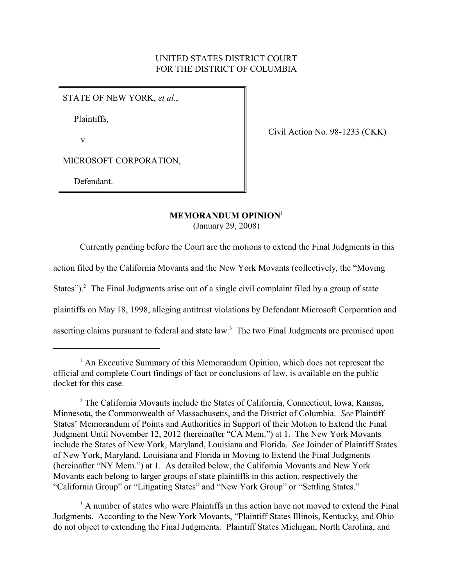# UNITED STATES DISTRICT COURT FOR THE DISTRICT OF COLUMBIA

STATE OF NEW YORK, *et al.*,

Plaintiffs,

v.

Civil Action No. 98-1233 (CKK)

MICROSOFT CORPORATION,

Defendant.

## **MEMORANDUM OPINION**<sup>1</sup>

(January 29, 2008)

Currently pending before the Court are the motions to extend the Final Judgments in this

action filed by the California Movants and the New York Movants (collectively, the "Moving

States"). $^2$  The Final Judgments arise out of a single civil complaint filed by a group of state

plaintiffs on May 18, 1998, alleging antitrust violations by Defendant Microsoft Corporation and

asserting claims pursuant to federal and state law.<sup>3</sup> The two Final Judgments are premised upon

<sup>3</sup> A number of states who were Plaintiffs in this action have not moved to extend the Final Judgments. According to the New York Movants, "Plaintiff States Illinois, Kentucky, and Ohio do not object to extending the Final Judgments. Plaintiff States Michigan, North Carolina, and

 $<sup>1</sup>$  An Executive Summary of this Memorandum Opinion, which does not represent the</sup> official and complete Court findings of fact or conclusions of law, is available on the public docket for this case.

<sup>&</sup>lt;sup>2</sup> The California Movants include the States of California, Connecticut, Iowa, Kansas, Minnesota, the Commonwealth of Massachusetts, and the District of Columbia. *See* Plaintiff States' Memorandum of Points and Authorities in Support of their Motion to Extend the Final Judgment Until November 12, 2012 (hereinafter "CA Mem.") at 1. The New York Movants include the States of New York, Maryland, Louisiana and Florida. *See* Joinder of Plaintiff States of New York, Maryland, Louisiana and Florida in Moving to Extend the Final Judgments (hereinafter "NY Mem.") at 1. As detailed below, the California Movants and New York Movants each belong to larger groups of state plaintiffs in this action, respectively the "California Group" or "Litigating States" and "New York Group" or "Settling States."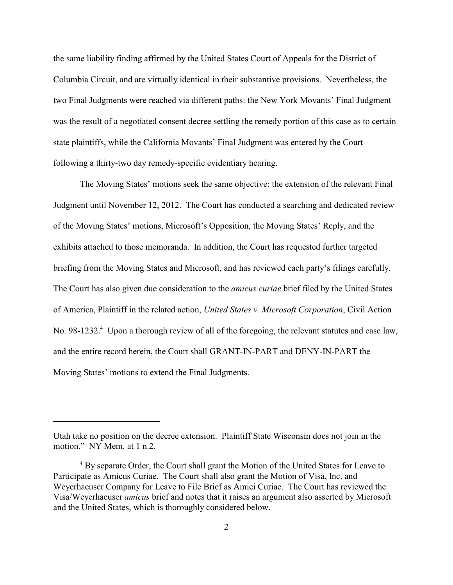the same liability finding affirmed by the United States Court of Appeals for the District of Columbia Circuit, and are virtually identical in their substantive provisions. Nevertheless, the two Final Judgments were reached via different paths: the New York Movants' Final Judgment was the result of a negotiated consent decree settling the remedy portion of this case as to certain state plaintiffs, while the California Movants' Final Judgment was entered by the Court following a thirty-two day remedy-specific evidentiary hearing.

The Moving States' motions seek the same objective: the extension of the relevant Final Judgment until November 12, 2012. The Court has conducted a searching and dedicated review of the Moving States' motions, Microsoft's Opposition, the Moving States' Reply, and the exhibits attached to those memoranda. In addition, the Court has requested further targeted briefing from the Moving States and Microsoft, and has reviewed each party's filings carefully. The Court has also given due consideration to the *amicus curiae* brief filed by the United States of America, Plaintiff in the related action, *United States v. Microsoft Corporation*, Civil Action No. 98-1232.<sup>4</sup> Upon a thorough review of all of the foregoing, the relevant statutes and case law, and the entire record herein, the Court shall GRANT-IN-PART and DENY-IN-PART the Moving States' motions to extend the Final Judgments.

Utah take no position on the decree extension. Plaintiff State Wisconsin does not join in the motion." NY Mem. at 1 n.2.

<sup>&</sup>lt;sup>4</sup> By separate Order, the Court shall grant the Motion of the United States for Leave to Participate as Amicus Curiae. The Court shall also grant the Motion of Visa, Inc. and Weyerhaeuser Company for Leave to File Brief as Amici Curiae. The Court has reviewed the Visa/Weyerhaeuser *amicus* brief and notes that it raises an argument also asserted by Microsoft and the United States, which is thoroughly considered below.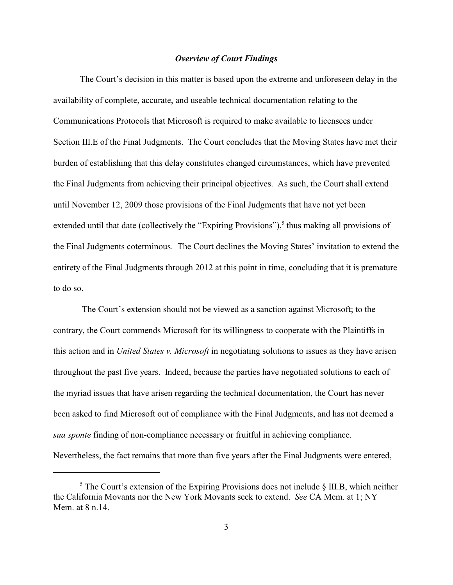#### *Overview of Court Findings*

The Court's decision in this matter is based upon the extreme and unforeseen delay in the availability of complete, accurate, and useable technical documentation relating to the Communications Protocols that Microsoft is required to make available to licensees under Section III.E of the Final Judgments. The Court concludes that the Moving States have met their burden of establishing that this delay constitutes changed circumstances, which have prevented the Final Judgments from achieving their principal objectives. As such, the Court shall extend until November 12, 2009 those provisions of the Final Judgments that have not yet been extended until that date (collectively the "Expiring Provisions"), $<sup>5</sup>$  thus making all provisions of</sup> the Final Judgments coterminous. The Court declines the Moving States' invitation to extend the entirety of the Final Judgments through 2012 at this point in time, concluding that it is premature to do so.

 The Court's extension should not be viewed as a sanction against Microsoft; to the contrary, the Court commends Microsoft for its willingness to cooperate with the Plaintiffs in this action and in *United States v. Microsoft* in negotiating solutions to issues as they have arisen throughout the past five years. Indeed, because the parties have negotiated solutions to each of the myriad issues that have arisen regarding the technical documentation, the Court has never been asked to find Microsoft out of compliance with the Final Judgments, and has not deemed a *sua sponte* finding of non-compliance necessary or fruitful in achieving compliance. Nevertheless, the fact remains that more than five years after the Final Judgments were entered,

 $\frac{5}{5}$  The Court's extension of the Expiring Provisions does not include § III.B, which neither the California Movants nor the New York Movants seek to extend. *See* CA Mem. at 1; NY Mem. at  $8 \text{ n } 14$ .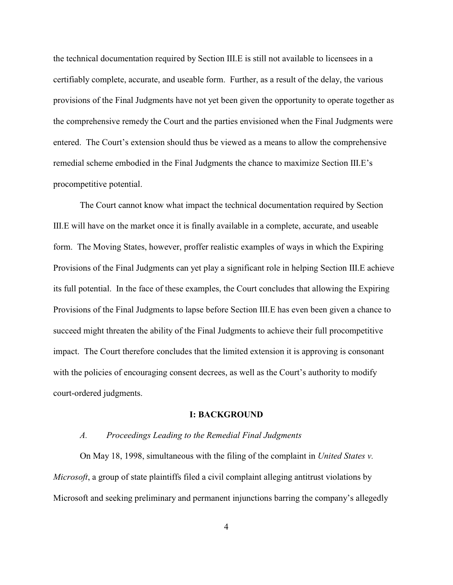the technical documentation required by Section III.E is still not available to licensees in a certifiably complete, accurate, and useable form. Further, as a result of the delay, the various provisions of the Final Judgments have not yet been given the opportunity to operate together as the comprehensive remedy the Court and the parties envisioned when the Final Judgments were entered. The Court's extension should thus be viewed as a means to allow the comprehensive remedial scheme embodied in the Final Judgments the chance to maximize Section III.E's procompetitive potential.

The Court cannot know what impact the technical documentation required by Section III.E will have on the market once it is finally available in a complete, accurate, and useable form. The Moving States, however, proffer realistic examples of ways in which the Expiring Provisions of the Final Judgments can yet play a significant role in helping Section III.E achieve its full potential. In the face of these examples, the Court concludes that allowing the Expiring Provisions of the Final Judgments to lapse before Section III.E has even been given a chance to succeed might threaten the ability of the Final Judgments to achieve their full procompetitive impact. The Court therefore concludes that the limited extension it is approving is consonant with the policies of encouraging consent decrees, as well as the Court's authority to modify court-ordered judgments.

# **I: BACKGROUND**

#### *A. Proceedings Leading to the Remedial Final Judgments*

On May 18, 1998, simultaneous with the filing of the complaint in *United States v. Microsoft*, a group of state plaintiffs filed a civil complaint alleging antitrust violations by Microsoft and seeking preliminary and permanent injunctions barring the company's allegedly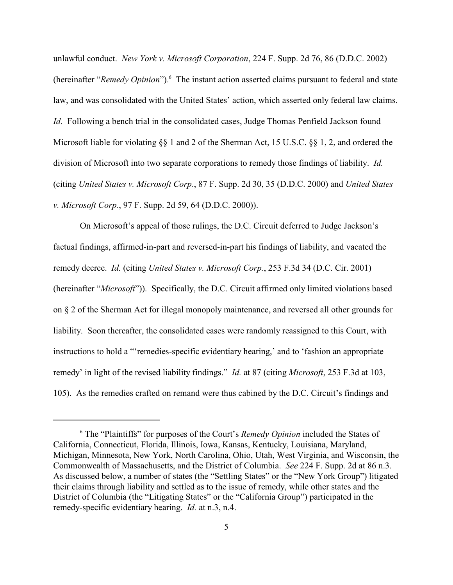unlawful conduct. *New York v. Microsoft Corporation*, 224 F. Supp. 2d 76, 86 (D.D.C. 2002) (hereinafter "*Remedy Opinion*"). <sup>6</sup> The instant action asserted claims pursuant to federal and state law, and was consolidated with the United States' action, which asserted only federal law claims. *Id.* Following a bench trial in the consolidated cases, Judge Thomas Penfield Jackson found Microsoft liable for violating §§ 1 and 2 of the Sherman Act, 15 U.S.C. §§ 1, 2, and ordered the division of Microsoft into two separate corporations to remedy those findings of liability. *Id.* (citing *United States v. Microsoft Corp*., 87 F. Supp. 2d 30, 35 (D.D.C. 2000) and *United States v. Microsoft Corp.*, 97 F. Supp. 2d 59, 64 (D.D.C. 2000)).

On Microsoft's appeal of those rulings, the D.C. Circuit deferred to Judge Jackson's factual findings, affirmed-in-part and reversed-in-part his findings of liability, and vacated the remedy decree. *Id.* (citing *United States v. Microsoft Corp.*, 253 F.3d 34 (D.C. Cir. 2001) (hereinafter "*Microsoft*")). Specifically, the D.C. Circuit affirmed only limited violations based on § 2 of the Sherman Act for illegal monopoly maintenance, and reversed all other grounds for liability. Soon thereafter, the consolidated cases were randomly reassigned to this Court, with instructions to hold a "'remedies-specific evidentiary hearing,' and to 'fashion an appropriate remedy' in light of the revised liability findings." *Id.* at 87 (citing *Microsoft*, 253 F.3d at 103, 105). As the remedies crafted on remand were thus cabined by the D.C. Circuit's findings and

<sup>&</sup>lt;sup>6</sup> The "Plaintiffs" for purposes of the Court's *Remedy Opinion* included the States of California, Connecticut, Florida, Illinois, Iowa, Kansas, Kentucky, Louisiana, Maryland, Michigan, Minnesota, New York, North Carolina, Ohio, Utah, West Virginia, and Wisconsin, the Commonwealth of Massachusetts, and the District of Columbia. *See* 224 F. Supp. 2d at 86 n.3. As discussed below, a number of states (the "Settling States" or the "New York Group") litigated their claims through liability and settled as to the issue of remedy, while other states and the District of Columbia (the "Litigating States" or the "California Group") participated in the remedy-specific evidentiary hearing. *Id.* at n.3, n.4.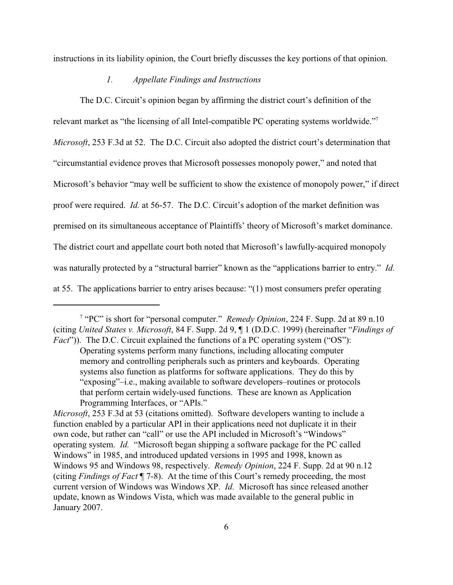instructions in its liability opinion, the Court briefly discusses the key portions of that opinion.

## *1. Appellate Findings and Instructions*

The D.C. Circuit's opinion began by affirming the district court's definition of the relevant market as "the licensing of all Intel-compatible PC operating systems worldwide."<sup>7</sup> *Microsoft*, 253 F.3d at 52. The D.C. Circuit also adopted the district court's determination that "circumstantial evidence proves that Microsoft possesses monopoly power," and noted that Microsoft's behavior "may well be sufficient to show the existence of monopoly power," if direct proof were required. *Id.* at 56-57. The D.C. Circuit's adoption of the market definition was premised on its simultaneous acceptance of Plaintiffs' theory of Microsoft's market dominance. The district court and appellate court both noted that Microsoft's lawfully-acquired monopoly was naturally protected by a "structural barrier" known as the "applications barrier to entry." *Id.* at 55. The applications barrier to entry arises because: "(1) most consumers prefer operating

<sup>&</sup>lt;sup>7</sup> "PC" is short for "personal computer." *Remedy Opinion*, 224 F. Supp. 2d at 89 n.10 (citing *United States v. Microsoft*, 84 F. Supp. 2d 9, ¶ 1 (D.D.C. 1999) (hereinafter "*Findings of Fact*")). The D.C. Circuit explained the functions of a PC operating system ("OS"):

Operating systems perform many functions, including allocating computer memory and controlling peripherals such as printers and keyboards. Operating systems also function as platforms for software applications. They do this by "exposing"–i.e., making available to software developers–routines or protocols that perform certain widely-used functions. These are known as Application Programming Interfaces, or "APIs."

*Microsoft*, 253 F.3d at 53 (citations omitted). Software developers wanting to include a function enabled by a particular API in their applications need not duplicate it in their own code, but rather can "call" or use the API included in Microsoft's "Windows" operating system. *Id.* "Microsoft began shipping a software package for the PC called Windows" in 1985, and introduced updated versions in 1995 and 1998, known as Windows 95 and Windows 98, respectively. *Remedy Opinion*, 224 F. Supp. 2d at 90 n.12 (citing *Findings of Fact* ¶ 7-8). At the time of this Court's remedy proceeding, the most current version of Windows was Windows XP. *Id.* Microsoft has since released another update, known as Windows Vista, which was made available to the general public in January 2007.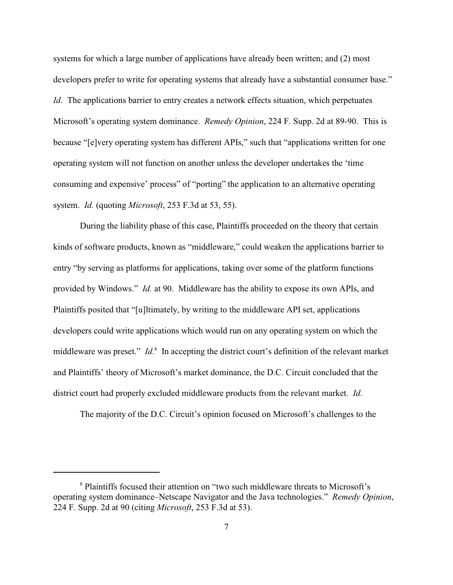systems for which a large number of applications have already been written; and (2) most developers prefer to write for operating systems that already have a substantial consumer base." *Id.* The applications barrier to entry creates a network effects situation, which perpetuates Microsoft's operating system dominance. *Remedy Opinion*, 224 F. Supp. 2d at 89-90. This is because "[e]very operating system has different APIs," such that "applications written for one operating system will not function on another unless the developer undertakes the 'time consuming and expensive' process" of "porting" the application to an alternative operating system. *Id.* (quoting *Microsoft*, 253 F.3d at 53, 55).

During the liability phase of this case, Plaintiffs proceeded on the theory that certain kinds of software products, known as "middleware," could weaken the applications barrier to entry "by serving as platforms for applications, taking over some of the platform functions provided by Windows." *Id.* at 90. Middleware has the ability to expose its own APIs, and Plaintiffs posited that "[u]ltimately, by writing to the middleware API set, applications developers could write applications which would run on any operating system on which the middleware was preset." *Id.*<sup>8</sup> In accepting the district court's definition of the relevant market and Plaintiffs' theory of Microsoft's market dominance, the D.C. Circuit concluded that the district court had properly excluded middleware products from the relevant market. *Id.*

The majority of the D.C. Circuit's opinion focused on Microsoft's challenges to the

<sup>&</sup>lt;sup>8</sup> Plaintiffs focused their attention on "two such middleware threats to Microsoft's operating system dominance–Netscape Navigator and the Java technologies." *Remedy Opinion*, 224 F. Supp. 2d at 90 (citing *Microsoft*, 253 F.3d at 53).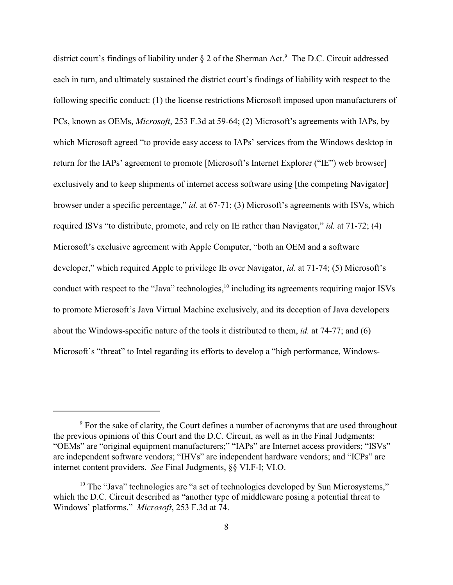district court's findings of liability under  $\S 2$  of the Sherman Act.<sup>9</sup> The D.C. Circuit addressed each in turn, and ultimately sustained the district court's findings of liability with respect to the following specific conduct: (1) the license restrictions Microsoft imposed upon manufacturers of PCs, known as OEMs, *Microsoft*, 253 F.3d at 59-64; (2) Microsoft's agreements with IAPs, by which Microsoft agreed "to provide easy access to IAPs' services from the Windows desktop in return for the IAPs' agreement to promote [Microsoft's Internet Explorer ("IE") web browser] exclusively and to keep shipments of internet access software using [the competing Navigator] browser under a specific percentage," *id.* at 67-71; (3) Microsoft's agreements with ISVs, which required ISVs "to distribute, promote, and rely on IE rather than Navigator," *id.* at 71-72; (4) Microsoft's exclusive agreement with Apple Computer, "both an OEM and a software developer," which required Apple to privilege IE over Navigator, *id.* at 71-74; (5) Microsoft's conduct with respect to the "Java" technologies,  $\frac{10}{10}$  including its agreements requiring major ISVs to promote Microsoft's Java Virtual Machine exclusively, and its deception of Java developers about the Windows-specific nature of the tools it distributed to them, *id.* at 74-77; and (6) Microsoft's "threat" to Intel regarding its efforts to develop a "high performance, Windows-

 $9^9$  For the sake of clarity, the Court defines a number of acronyms that are used throughout the previous opinions of this Court and the D.C. Circuit, as well as in the Final Judgments: "OEMs" are "original equipment manufacturers;" "IAPs" are Internet access providers; "ISVs" are independent software vendors; "IHVs" are independent hardware vendors; and "ICPs" are internet content providers. *See* Final Judgments, §§ VI.F-I; VI.O.

 $10$  The "Java" technologies are "a set of technologies developed by Sun Microsystems," which the D.C. Circuit described as "another type of middleware posing a potential threat to Windows' platforms." *Microsoft*, 253 F.3d at 74.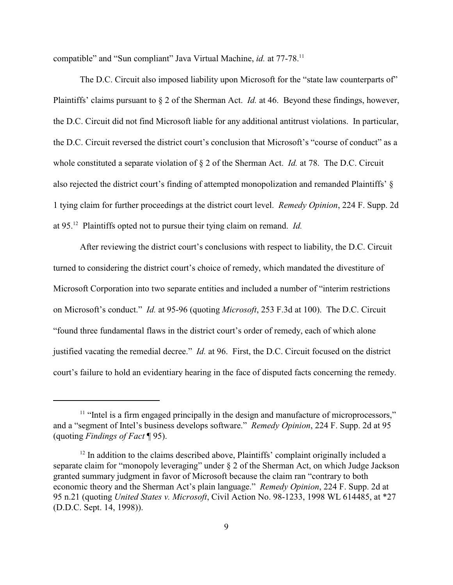compatible" and "Sun compliant" Java Virtual Machine, *id.* at 77-78.<sup>11</sup>

The D.C. Circuit also imposed liability upon Microsoft for the "state law counterparts of" Plaintiffs' claims pursuant to § 2 of the Sherman Act. *Id.* at 46. Beyond these findings, however, the D.C. Circuit did not find Microsoft liable for any additional antitrust violations. In particular, the D.C. Circuit reversed the district court's conclusion that Microsoft's "course of conduct" as a whole constituted a separate violation of § 2 of the Sherman Act. *Id.* at 78. The D.C. Circuit also rejected the district court's finding of attempted monopolization and remanded Plaintiffs' § 1 tying claim for further proceedings at the district court level. *Remedy Opinion*, 224 F. Supp. 2d at 95.<sup>12</sup> Plaintiffs opted not to pursue their tying claim on remand. *Id.* 

After reviewing the district court's conclusions with respect to liability, the D.C. Circuit turned to considering the district court's choice of remedy, which mandated the divestiture of Microsoft Corporation into two separate entities and included a number of "interim restrictions on Microsoft's conduct." *Id.* at 95-96 (quoting *Microsoft*, 253 F.3d at 100). The D.C. Circuit "found three fundamental flaws in the district court's order of remedy, each of which alone justified vacating the remedial decree." *Id.* at 96. First, the D.C. Circuit focused on the district court's failure to hold an evidentiary hearing in the face of disputed facts concerning the remedy.

 $<sup>11</sup>$  "Intel is a firm engaged principally in the design and manufacture of microprocessors,"</sup> and a "segment of Intel's business develops software." *Remedy Opinion*, 224 F. Supp. 2d at 95 (quoting *Findings of Fact* ¶ 95).

 $12$  In addition to the claims described above, Plaintiffs' complaint originally included a separate claim for "monopoly leveraging" under § 2 of the Sherman Act, on which Judge Jackson granted summary judgment in favor of Microsoft because the claim ran "contrary to both economic theory and the Sherman Act's plain language." *Remedy Opinion*, 224 F. Supp. 2d at 95 n.21 (quoting *United States v. Microsoft*, Civil Action No. 98-1233, 1998 WL 614485, at \*27 (D.D.C. Sept. 14, 1998)).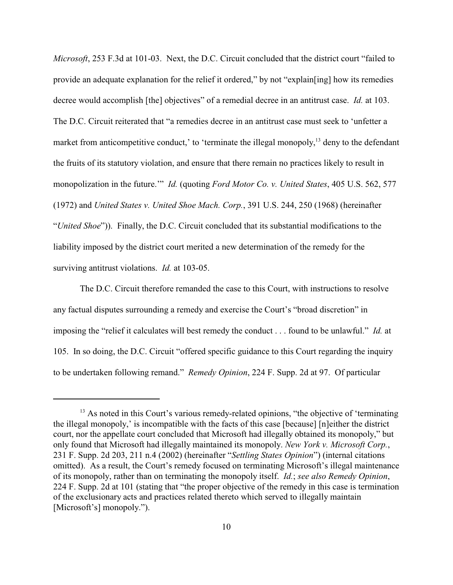*Microsoft*, 253 F.3d at 101-03. Next, the D.C. Circuit concluded that the district court "failed to provide an adequate explanation for the relief it ordered," by not "explain[ing] how its remedies decree would accomplish [the] objectives" of a remedial decree in an antitrust case. *Id.* at 103. The D.C. Circuit reiterated that "a remedies decree in an antitrust case must seek to 'unfetter a market from anticompetitive conduct,' to 'terminate the illegal monopoly, $^{13}$  deny to the defendant the fruits of its statutory violation, and ensure that there remain no practices likely to result in monopolization in the future.'" *Id.* (quoting *Ford Motor Co. v. United States*, 405 U.S. 562, 577 (1972) and *United States v. United Shoe Mach. Corp.*, 391 U.S. 244, 250 (1968) (hereinafter "*United Shoe*")). Finally, the D.C. Circuit concluded that its substantial modifications to the liability imposed by the district court merited a new determination of the remedy for the surviving antitrust violations. *Id.* at 103-05.

The D.C. Circuit therefore remanded the case to this Court, with instructions to resolve any factual disputes surrounding a remedy and exercise the Court's "broad discretion" in imposing the "relief it calculates will best remedy the conduct . . . found to be unlawful." *Id.* at 105. In so doing, the D.C. Circuit "offered specific guidance to this Court regarding the inquiry to be undertaken following remand." *Remedy Opinion*, 224 F. Supp. 2d at 97. Of particular

<sup>&</sup>lt;sup>13</sup> As noted in this Court's various remedy-related opinions, "the objective of 'terminating the illegal monopoly,' is incompatible with the facts of this case [because] [n]either the district court, nor the appellate court concluded that Microsoft had illegally obtained its monopoly," but only found that Microsoft had illegally maintained its monopoly. *New York v. Microsoft Corp.*, 231 F. Supp. 2d 203, 211 n.4 (2002) (hereinafter "*Settling States Opinion*") (internal citations omitted). As a result, the Court's remedy focused on terminating Microsoft's illegal maintenance of its monopoly, rather than on terminating the monopoly itself. *Id.*; *see also Remedy Opinion*, 224 F. Supp. 2d at 101 (stating that "the proper objective of the remedy in this case is termination of the exclusionary acts and practices related thereto which served to illegally maintain [Microsoft's] monopoly.").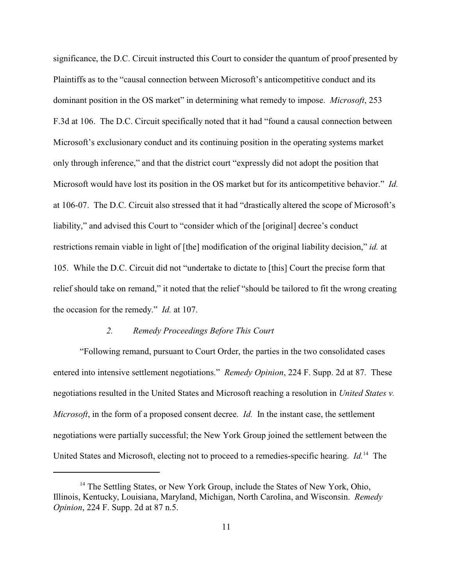significance, the D.C. Circuit instructed this Court to consider the quantum of proof presented by Plaintiffs as to the "causal connection between Microsoft's anticompetitive conduct and its dominant position in the OS market" in determining what remedy to impose. *Microsoft*, 253 F.3d at 106. The D.C. Circuit specifically noted that it had "found a causal connection between Microsoft's exclusionary conduct and its continuing position in the operating systems market only through inference," and that the district court "expressly did not adopt the position that Microsoft would have lost its position in the OS market but for its anticompetitive behavior." *Id.* at 106-07. The D.C. Circuit also stressed that it had "drastically altered the scope of Microsoft's liability," and advised this Court to "consider which of the [original] decree's conduct restrictions remain viable in light of [the] modification of the original liability decision," *id.* at 105. While the D.C. Circuit did not "undertake to dictate to [this] Court the precise form that relief should take on remand," it noted that the relief "should be tailored to fit the wrong creating the occasion for the remedy." *Id.* at 107.

#### *2. Remedy Proceedings Before This Court*

"Following remand, pursuant to Court Order, the parties in the two consolidated cases entered into intensive settlement negotiations." *Remedy Opinion*, 224 F. Supp. 2d at 87. These negotiations resulted in the United States and Microsoft reaching a resolution in *United States v. Microsoft*, in the form of a proposed consent decree. *Id.* In the instant case, the settlement negotiations were partially successful; the New York Group joined the settlement between the United States and Microsoft, electing not to proceed to a remedies-specific hearing. *Id.*<sup>14</sup> The

 $14$  The Settling States, or New York Group, include the States of New York, Ohio, Illinois, Kentucky, Louisiana, Maryland, Michigan, North Carolina, and Wisconsin. *Remedy Opinion*, 224 F. Supp. 2d at 87 n.5.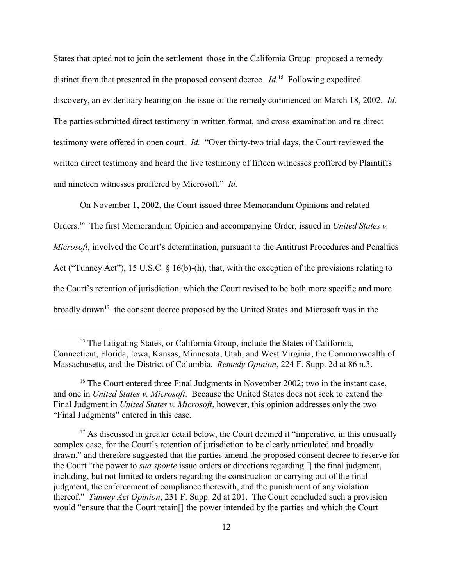States that opted not to join the settlement–those in the California Group–proposed a remedy distinct from that presented in the proposed consent decree.  $Id$ <sup>15</sup> Following expedited discovery, an evidentiary hearing on the issue of the remedy commenced on March 18, 2002. *Id.* The parties submitted direct testimony in written format, and cross-examination and re-direct testimony were offered in open court. *Id.* "Over thirty-two trial days, the Court reviewed the written direct testimony and heard the live testimony of fifteen witnesses proffered by Plaintiffs and nineteen witnesses proffered by Microsoft." *Id.*

On November 1, 2002, the Court issued three Memorandum Opinions and related Orders.<sup>16</sup> The first Memorandum Opinion and accompanying Order, issued in *United States v. Microsoft*, involved the Court's determination, pursuant to the Antitrust Procedures and Penalties Act ("Tunney Act"), 15 U.S.C. § 16(b)-(h), that, with the exception of the provisions relating to the Court's retention of jurisdiction–which the Court revised to be both more specific and more broadly drawn<sup>17</sup>-the consent decree proposed by the United States and Microsoft was in the

 $15$  The Litigating States, or California Group, include the States of California, Connecticut, Florida, Iowa, Kansas, Minnesota, Utah, and West Virginia, the Commonwealth of Massachusetts, and the District of Columbia. *Remedy Opinion*, 224 F. Supp. 2d at 86 n.3.

 $16$  The Court entered three Final Judgments in November 2002; two in the instant case, and one in *United States v. Microsoft*. Because the United States does not seek to extend the Final Judgment in *United States v. Microsoft*, however, this opinion addresses only the two "Final Judgments" entered in this case.

 $17$  As discussed in greater detail below, the Court deemed it "imperative, in this unusually complex case, for the Court's retention of jurisdiction to be clearly articulated and broadly drawn," and therefore suggested that the parties amend the proposed consent decree to reserve for the Court "the power to *sua sponte* issue orders or directions regarding [] the final judgment, including, but not limited to orders regarding the construction or carrying out of the final judgment, the enforcement of compliance therewith, and the punishment of any violation thereof." *Tunney Act Opinion*, 231 F. Supp. 2d at 201. The Court concluded such a provision would "ensure that the Court retain[] the power intended by the parties and which the Court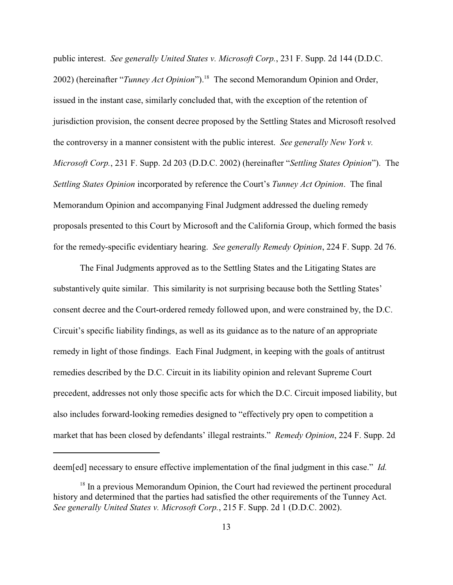public interest. *See generally United States v. Microsoft Corp.*, 231 F. Supp. 2d 144 (D.D.C. 2002) (hereinafter "*Tunney Act Opinion*").<sup>18</sup> The second Memorandum Opinion and Order, issued in the instant case, similarly concluded that, with the exception of the retention of jurisdiction provision, the consent decree proposed by the Settling States and Microsoft resolved the controversy in a manner consistent with the public interest. *See generally New York v. Microsoft Corp.*, 231 F. Supp. 2d 203 (D.D.C. 2002) (hereinafter "*Settling States Opinion*"). The *Settling States Opinion* incorporated by reference the Court's *Tunney Act Opinion*. The final Memorandum Opinion and accompanying Final Judgment addressed the dueling remedy proposals presented to this Court by Microsoft and the California Group, which formed the basis for the remedy-specific evidentiary hearing. *See generally Remedy Opinion*, 224 F. Supp. 2d 76.

The Final Judgments approved as to the Settling States and the Litigating States are substantively quite similar. This similarity is not surprising because both the Settling States' consent decree and the Court-ordered remedy followed upon, and were constrained by, the D.C. Circuit's specific liability findings, as well as its guidance as to the nature of an appropriate remedy in light of those findings. Each Final Judgment, in keeping with the goals of antitrust remedies described by the D.C. Circuit in its liability opinion and relevant Supreme Court precedent, addresses not only those specific acts for which the D.C. Circuit imposed liability, but also includes forward-looking remedies designed to "effectively pry open to competition a market that has been closed by defendants' illegal restraints." *Remedy Opinion*, 224 F. Supp. 2d

deem[ed] necessary to ensure effective implementation of the final judgment in this case." *Id.*

 $18$  In a previous Memorandum Opinion, the Court had reviewed the pertinent procedural history and determined that the parties had satisfied the other requirements of the Tunney Act. *See generally United States v. Microsoft Corp.*, 215 F. Supp. 2d 1 (D.D.C. 2002).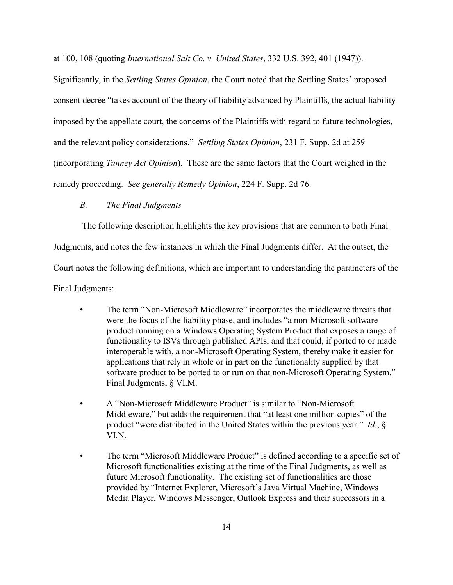at 100, 108 (quoting *International Salt Co. v. United States*, 332 U.S. 392, 401 (1947)).

Significantly, in the *Settling States Opinion*, the Court noted that the Settling States' proposed consent decree "takes account of the theory of liability advanced by Plaintiffs, the actual liability imposed by the appellate court, the concerns of the Plaintiffs with regard to future technologies, and the relevant policy considerations." *Settling States Opinion*, 231 F. Supp. 2d at 259 (incorporating *Tunney Act Opinion*). These are the same factors that the Court weighed in the remedy proceeding. *See generally Remedy Opinion*, 224 F. Supp. 2d 76.

#### *B. The Final Judgments*

 The following description highlights the key provisions that are common to both Final Judgments, and notes the few instances in which the Final Judgments differ. At the outset, the Court notes the following definitions, which are important to understanding the parameters of the Final Judgments:

- The term "Non-Microsoft Middleware" incorporates the middleware threats that were the focus of the liability phase, and includes "a non-Microsoft software product running on a Windows Operating System Product that exposes a range of functionality to ISVs through published APIs, and that could, if ported to or made interoperable with, a non-Microsoft Operating System, thereby make it easier for applications that rely in whole or in part on the functionality supplied by that software product to be ported to or run on that non-Microsoft Operating System." Final Judgments, § VI.M.
- A "Non-Microsoft Middleware Product" is similar to "Non-Microsoft Middleware," but adds the requirement that "at least one million copies" of the product "were distributed in the United States within the previous year." *Id.*, § VI.N.
- The term "Microsoft Middleware Product" is defined according to a specific set of Microsoft functionalities existing at the time of the Final Judgments, as well as future Microsoft functionality. The existing set of functionalities are those provided by "Internet Explorer, Microsoft's Java Virtual Machine, Windows Media Player, Windows Messenger, Outlook Express and their successors in a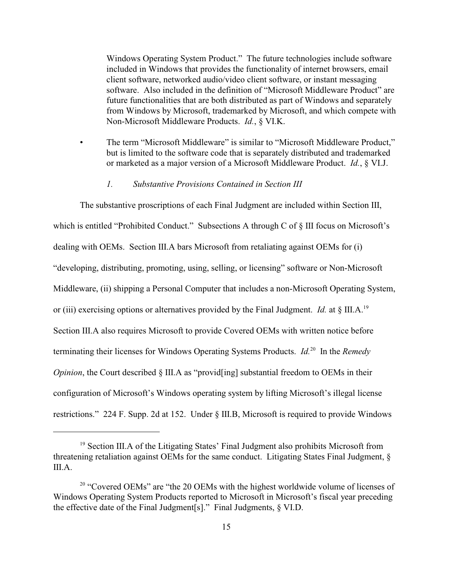Windows Operating System Product." The future technologies include software included in Windows that provides the functionality of internet browsers, email client software, networked audio/video client software, or instant messaging software. Also included in the definition of "Microsoft Middleware Product" are future functionalities that are both distributed as part of Windows and separately from Windows by Microsoft, trademarked by Microsoft, and which compete with Non-Microsoft Middleware Products. *Id.*, § VI.K.

• The term "Microsoft Middleware" is similar to "Microsoft Middleware Product," but is limited to the software code that is separately distributed and trademarked or marketed as a major version of a Microsoft Middleware Product. *Id.*, § VI.J.

# *1. Substantive Provisions Contained in Section III*

The substantive proscriptions of each Final Judgment are included within Section III, which is entitled "Prohibited Conduct." Subsections A through C of § III focus on Microsoft's dealing with OEMs. Section III.A bars Microsoft from retaliating against OEMs for (i) "developing, distributing, promoting, using, selling, or licensing" software or Non-Microsoft Middleware, (ii) shipping a Personal Computer that includes a non-Microsoft Operating System, or (iii) exercising options or alternatives provided by the Final Judgment. *Id.* at § III.A.<sup>19</sup> Section III.A also requires Microsoft to provide Covered OEMs with written notice before terminating their licenses for Windows Operating Systems Products. *Id.*<sup>20</sup> In the *Remedy Opinion*, the Court described § III.A as "provid[ing] substantial freedom to OEMs in their configuration of Microsoft's Windows operating system by lifting Microsoft's illegal license restrictions." 224 F. Supp. 2d at 152. Under § III.B, Microsoft is required to provide Windows

<sup>&</sup>lt;sup>19</sup> Section III.A of the Litigating States' Final Judgment also prohibits Microsoft from threatening retaliation against OEMs for the same conduct. Litigating States Final Judgment, § III.A.

 $20$  "Covered OEMs" are "the 20 OEMs with the highest worldwide volume of licenses of Windows Operating System Products reported to Microsoft in Microsoft's fiscal year preceding the effective date of the Final Judgment[s]." Final Judgments, § VI.D.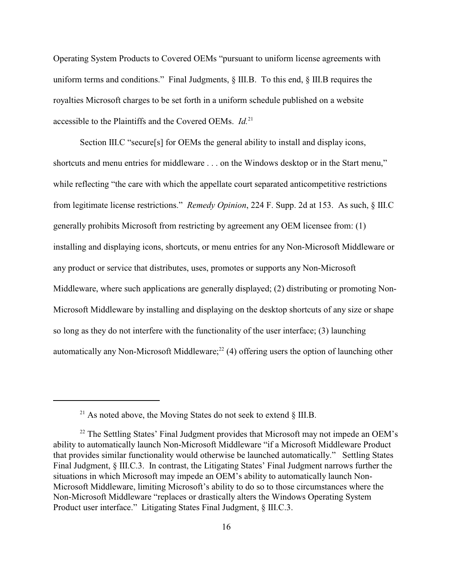Operating System Products to Covered OEMs "pursuant to uniform license agreements with uniform terms and conditions." Final Judgments,  $\S$  III.B. To this end,  $\S$  III.B requires the royalties Microsoft charges to be set forth in a uniform schedule published on a website accessible to the Plaintiffs and the Covered OEMs. *Id*.<sup>21</sup>

Section III.C "secure[s] for OEMs the general ability to install and display icons, shortcuts and menu entries for middleware . . . on the Windows desktop or in the Start menu," while reflecting "the care with which the appellate court separated anticompetitive restrictions from legitimate license restrictions." *Remedy Opinion*, 224 F. Supp. 2d at 153. As such, § III.C generally prohibits Microsoft from restricting by agreement any OEM licensee from: (1) installing and displaying icons, shortcuts, or menu entries for any Non-Microsoft Middleware or any product or service that distributes, uses, promotes or supports any Non-Microsoft Middleware, where such applications are generally displayed; (2) distributing or promoting Non-Microsoft Middleware by installing and displaying on the desktop shortcuts of any size or shape so long as they do not interfere with the functionality of the user interface; (3) launching automatically any Non-Microsoft Middleware; $^{22}$  (4) offering users the option of launching other

<sup>&</sup>lt;sup>21</sup> As noted above, the Moving States do not seek to extend  $\S$  III.B.

 $22$  The Settling States' Final Judgment provides that Microsoft may not impede an OEM's ability to automatically launch Non-Microsoft Middleware "if a Microsoft Middleware Product that provides similar functionality would otherwise be launched automatically." Settling States Final Judgment, § III.C.3. In contrast, the Litigating States' Final Judgment narrows further the situations in which Microsoft may impede an OEM's ability to automatically launch Non-Microsoft Middleware, limiting Microsoft's ability to do so to those circumstances where the Non-Microsoft Middleware "replaces or drastically alters the Windows Operating System Product user interface." Litigating States Final Judgment, § III.C.3.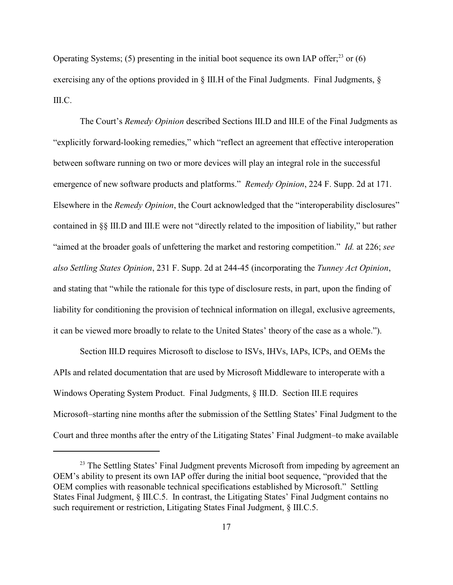Operating Systems; (5) presenting in the initial boot sequence its own IAP offer;<sup>23</sup> or (6) exercising any of the options provided in  $\S$  III. H of the Final Judgments. Final Judgments,  $\S$ III.C.

The Court's *Remedy Opinion* described Sections III.D and III.E of the Final Judgments as "explicitly forward-looking remedies," which "reflect an agreement that effective interoperation between software running on two or more devices will play an integral role in the successful emergence of new software products and platforms." *Remedy Opinion*, 224 F. Supp. 2d at 171. Elsewhere in the *Remedy Opinion*, the Court acknowledged that the "interoperability disclosures" contained in §§ III.D and III.E were not "directly related to the imposition of liability," but rather "aimed at the broader goals of unfettering the market and restoring competition." *Id.* at 226; *see also Settling States Opinion*, 231 F. Supp. 2d at 244-45 (incorporating the *Tunney Act Opinion*, and stating that "while the rationale for this type of disclosure rests, in part, upon the finding of liability for conditioning the provision of technical information on illegal, exclusive agreements, it can be viewed more broadly to relate to the United States' theory of the case as a whole.").

Section III.D requires Microsoft to disclose to ISVs, IHVs, IAPs, ICPs, and OEMs the APIs and related documentation that are used by Microsoft Middleware to interoperate with a Windows Operating System Product. Final Judgments, § III.D. Section III.E requires Microsoft–starting nine months after the submission of the Settling States' Final Judgment to the Court and three months after the entry of the Litigating States' Final Judgment–to make available

 $23$  The Settling States' Final Judgment prevents Microsoft from impeding by agreement an OEM's ability to present its own IAP offer during the initial boot sequence, "provided that the OEM complies with reasonable technical specifications established by Microsoft." Settling States Final Judgment, § III.C.5. In contrast, the Litigating States' Final Judgment contains no such requirement or restriction, Litigating States Final Judgment, § III.C.5.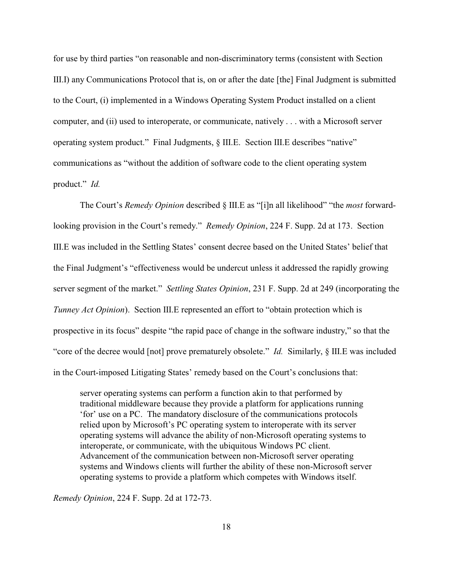for use by third parties "on reasonable and non-discriminatory terms (consistent with Section III.I) any Communications Protocol that is, on or after the date [the] Final Judgment is submitted to the Court, (i) implemented in a Windows Operating System Product installed on a client computer, and (ii) used to interoperate, or communicate, natively . . . with a Microsoft server operating system product." Final Judgments, § III.E. Section III.E describes "native" communications as "without the addition of software code to the client operating system product." *Id.*

The Court's *Remedy Opinion* described § III.E as "[i]n all likelihood" "the *most* forwardlooking provision in the Court's remedy." *Remedy Opinion*, 224 F. Supp. 2d at 173. Section III.E was included in the Settling States' consent decree based on the United States' belief that the Final Judgment's "effectiveness would be undercut unless it addressed the rapidly growing server segment of the market." *Settling States Opinion*, 231 F. Supp. 2d at 249 (incorporating the *Tunney Act Opinion*). Section III.E represented an effort to "obtain protection which is prospective in its focus" despite "the rapid pace of change in the software industry," so that the "core of the decree would [not] prove prematurely obsolete." *Id.* Similarly, § III.E was included in the Court-imposed Litigating States' remedy based on the Court's conclusions that:

server operating systems can perform a function akin to that performed by traditional middleware because they provide a platform for applications running 'for' use on a PC. The mandatory disclosure of the communications protocols relied upon by Microsoft's PC operating system to interoperate with its server operating systems will advance the ability of non-Microsoft operating systems to interoperate, or communicate, with the ubiquitous Windows PC client. Advancement of the communication between non-Microsoft server operating systems and Windows clients will further the ability of these non-Microsoft server operating systems to provide a platform which competes with Windows itself.

*Remedy Opinion*, 224 F. Supp. 2d at 172-73.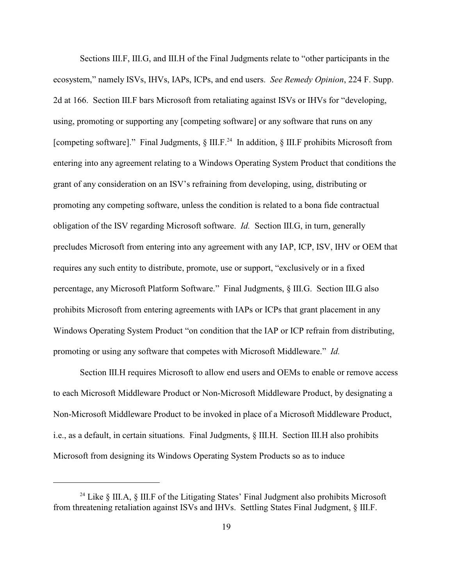Sections III.F, III.G, and III.H of the Final Judgments relate to "other participants in the ecosystem," namely ISVs, IHVs, IAPs, ICPs, and end users. *See Remedy Opinion*, 224 F. Supp. 2d at 166. Section III.F bars Microsoft from retaliating against ISVs or IHVs for "developing, using, promoting or supporting any [competing software] or any software that runs on any [competing software]." Final Judgments,  $\S$  III.F.<sup>24</sup> In addition,  $\S$  III.F prohibits Microsoft from entering into any agreement relating to a Windows Operating System Product that conditions the grant of any consideration on an ISV's refraining from developing, using, distributing or promoting any competing software, unless the condition is related to a bona fide contractual obligation of the ISV regarding Microsoft software. *Id.* Section III.G, in turn, generally precludes Microsoft from entering into any agreement with any IAP, ICP, ISV, IHV or OEM that requires any such entity to distribute, promote, use or support, "exclusively or in a fixed percentage, any Microsoft Platform Software." Final Judgments, § III.G. Section III.G also prohibits Microsoft from entering agreements with IAPs or ICPs that grant placement in any Windows Operating System Product "on condition that the IAP or ICP refrain from distributing, promoting or using any software that competes with Microsoft Middleware." *Id.*

Section III.H requires Microsoft to allow end users and OEMs to enable or remove access to each Microsoft Middleware Product or Non-Microsoft Middleware Product, by designating a Non-Microsoft Middleware Product to be invoked in place of a Microsoft Middleware Product, i.e., as a default, in certain situations. Final Judgments, § III.H. Section III.H also prohibits Microsoft from designing its Windows Operating System Products so as to induce

<sup>&</sup>lt;sup>24</sup> Like  $\oint$  III.A,  $\oint$  III.F of the Litigating States' Final Judgment also prohibits Microsoft from threatening retaliation against ISVs and IHVs. Settling States Final Judgment, § III.F.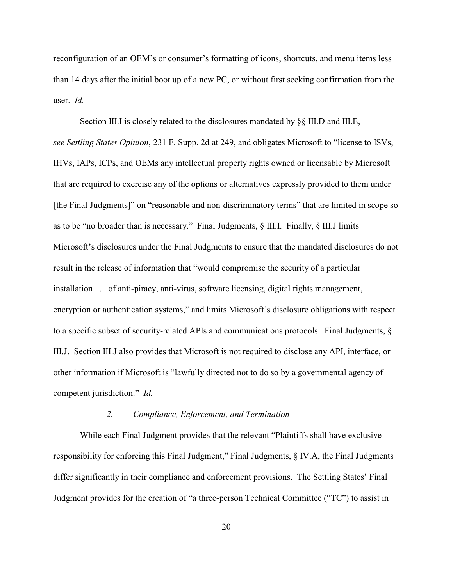reconfiguration of an OEM's or consumer's formatting of icons, shortcuts, and menu items less than 14 days after the initial boot up of a new PC, or without first seeking confirmation from the user. *Id.*

Section III.I is closely related to the disclosures mandated by §§ III.D and III.E, *see Settling States Opinion*, 231 F. Supp. 2d at 249, and obligates Microsoft to "license to ISVs, IHVs, IAPs, ICPs, and OEMs any intellectual property rights owned or licensable by Microsoft that are required to exercise any of the options or alternatives expressly provided to them under [the Final Judgments]" on "reasonable and non-discriminatory terms" that are limited in scope so as to be "no broader than is necessary." Final Judgments, § III.I. Finally, § III.J limits Microsoft's disclosures under the Final Judgments to ensure that the mandated disclosures do not result in the release of information that "would compromise the security of a particular installation . . . of anti-piracy, anti-virus, software licensing, digital rights management, encryption or authentication systems," and limits Microsoft's disclosure obligations with respect to a specific subset of security-related APIs and communications protocols. Final Judgments, § III.J. Section III.J also provides that Microsoft is not required to disclose any API, interface, or other information if Microsoft is "lawfully directed not to do so by a governmental agency of competent jurisdiction." *Id.*

## *2. Compliance, Enforcement, and Termination*

While each Final Judgment provides that the relevant "Plaintiffs shall have exclusive responsibility for enforcing this Final Judgment," Final Judgments, § IV.A, the Final Judgments differ significantly in their compliance and enforcement provisions. The Settling States' Final Judgment provides for the creation of "a three-person Technical Committee ("TC") to assist in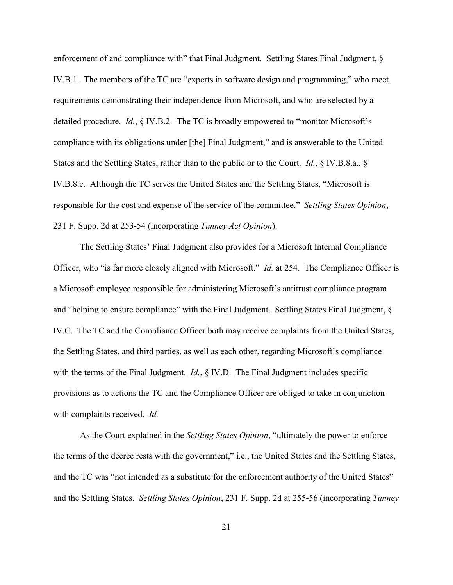enforcement of and compliance with" that Final Judgment. Settling States Final Judgment, § IV.B.1. The members of the TC are "experts in software design and programming," who meet requirements demonstrating their independence from Microsoft, and who are selected by a detailed procedure. *Id.*, § IV.B.2. The TC is broadly empowered to "monitor Microsoft's compliance with its obligations under [the] Final Judgment," and is answerable to the United States and the Settling States, rather than to the public or to the Court. *Id.*, § IV.B.8.a., § IV.B.8.e. Although the TC serves the United States and the Settling States, "Microsoft is responsible for the cost and expense of the service of the committee." *Settling States Opinion*, 231 F. Supp. 2d at 253-54 (incorporating *Tunney Act Opinion*).

The Settling States' Final Judgment also provides for a Microsoft Internal Compliance Officer, who "is far more closely aligned with Microsoft." *Id.* at 254. The Compliance Officer is a Microsoft employee responsible for administering Microsoft's antitrust compliance program and "helping to ensure compliance" with the Final Judgment. Settling States Final Judgment, § IV.C. The TC and the Compliance Officer both may receive complaints from the United States, the Settling States, and third parties, as well as each other, regarding Microsoft's compliance with the terms of the Final Judgment. *Id.*, § IV.D. The Final Judgment includes specific provisions as to actions the TC and the Compliance Officer are obliged to take in conjunction with complaints received. *Id.*

As the Court explained in the *Settling States Opinion*, "ultimately the power to enforce the terms of the decree rests with the government," i.e., the United States and the Settling States, and the TC was "not intended as a substitute for the enforcement authority of the United States" and the Settling States. *Settling States Opinion*, 231 F. Supp. 2d at 255-56 (incorporating *Tunney*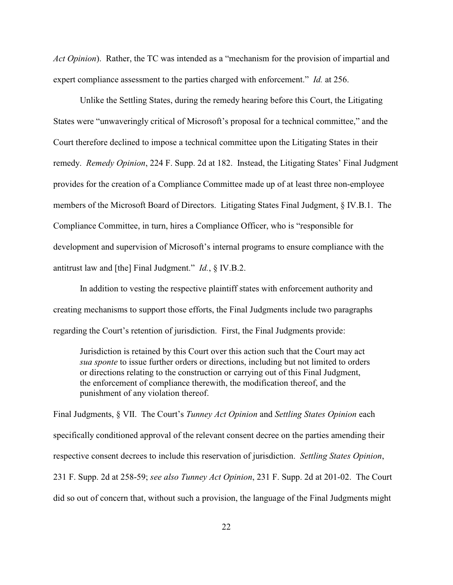*Act Opinion*). Rather, the TC was intended as a "mechanism for the provision of impartial and expert compliance assessment to the parties charged with enforcement." *Id.* at 256.

Unlike the Settling States, during the remedy hearing before this Court, the Litigating States were "unwaveringly critical of Microsoft's proposal for a technical committee," and the Court therefore declined to impose a technical committee upon the Litigating States in their remedy. *Remedy Opinion*, 224 F. Supp. 2d at 182. Instead, the Litigating States' Final Judgment provides for the creation of a Compliance Committee made up of at least three non-employee members of the Microsoft Board of Directors. Litigating States Final Judgment, § IV.B.1. The Compliance Committee, in turn, hires a Compliance Officer, who is "responsible for development and supervision of Microsoft's internal programs to ensure compliance with the antitrust law and [the] Final Judgment." *Id.*, § IV.B.2.

In addition to vesting the respective plaintiff states with enforcement authority and creating mechanisms to support those efforts, the Final Judgments include two paragraphs regarding the Court's retention of jurisdiction. First, the Final Judgments provide:

Jurisdiction is retained by this Court over this action such that the Court may act *sua sponte* to issue further orders or directions, including but not limited to orders or directions relating to the construction or carrying out of this Final Judgment, the enforcement of compliance therewith, the modification thereof, and the punishment of any violation thereof.

Final Judgments, § VII. The Court's *Tunney Act Opinion* and *Settling States Opinion* each specifically conditioned approval of the relevant consent decree on the parties amending their respective consent decrees to include this reservation of jurisdiction. *Settling States Opinion*, 231 F. Supp. 2d at 258-59; *see also Tunney Act Opinion*, 231 F. Supp. 2d at 201-02. The Court did so out of concern that, without such a provision, the language of the Final Judgments might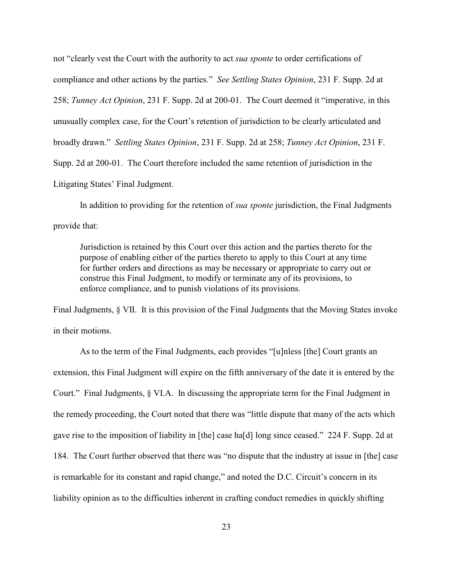not "clearly vest the Court with the authority to act *sua sponte* to order certifications of compliance and other actions by the parties." *See Settling States Opinion*, 231 F. Supp. 2d at 258; *Tunney Act Opinion*, 231 F. Supp. 2d at 200-01. The Court deemed it "imperative, in this unusually complex case, for the Court's retention of jurisdiction to be clearly articulated and broadly drawn." *Settling States Opinion*, 231 F. Supp. 2d at 258; *Tunney Act Opinion*, 231 F. Supp. 2d at 200-01. The Court therefore included the same retention of jurisdiction in the Litigating States' Final Judgment.

In addition to providing for the retention of *sua sponte* jurisdiction, the Final Judgments provide that:

Jurisdiction is retained by this Court over this action and the parties thereto for the purpose of enabling either of the parties thereto to apply to this Court at any time for further orders and directions as may be necessary or appropriate to carry out or construe this Final Judgment, to modify or terminate any of its provisions, to enforce compliance, and to punish violations of its provisions.

Final Judgments, § VII. It is this provision of the Final Judgments that the Moving States invoke in their motions.

As to the term of the Final Judgments, each provides "[u]nless [the] Court grants an extension, this Final Judgment will expire on the fifth anniversary of the date it is entered by the Court." Final Judgments, § VI.A. In discussing the appropriate term for the Final Judgment in the remedy proceeding, the Court noted that there was "little dispute that many of the acts which gave rise to the imposition of liability in [the] case ha[d] long since ceased." 224 F. Supp. 2d at 184. The Court further observed that there was "no dispute that the industry at issue in [the] case is remarkable for its constant and rapid change," and noted the D.C. Circuit's concern in its liability opinion as to the difficulties inherent in crafting conduct remedies in quickly shifting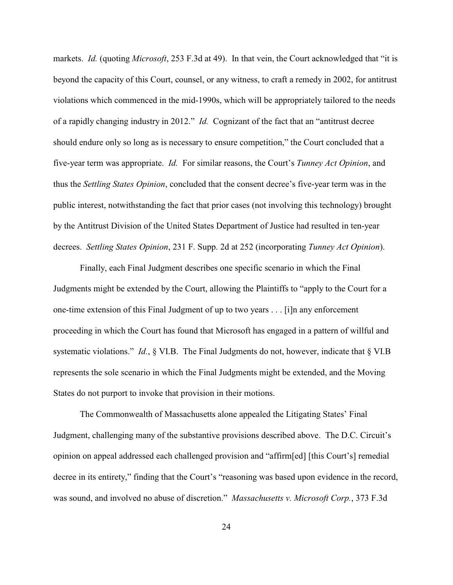markets. *Id.* (quoting *Microsoft*, 253 F.3d at 49). In that vein, the Court acknowledged that "it is beyond the capacity of this Court, counsel, or any witness, to craft a remedy in 2002, for antitrust violations which commenced in the mid-1990s, which will be appropriately tailored to the needs of a rapidly changing industry in 2012." *Id.* Cognizant of the fact that an "antitrust decree should endure only so long as is necessary to ensure competition," the Court concluded that a five-year term was appropriate. *Id.* For similar reasons, the Court's *Tunney Act Opinion*, and thus the *Settling States Opinion*, concluded that the consent decree's five-year term was in the public interest, notwithstanding the fact that prior cases (not involving this technology) brought by the Antitrust Division of the United States Department of Justice had resulted in ten-year decrees. *Settling States Opinion*, 231 F. Supp. 2d at 252 (incorporating *Tunney Act Opinion*).

Finally, each Final Judgment describes one specific scenario in which the Final Judgments might be extended by the Court, allowing the Plaintiffs to "apply to the Court for a one-time extension of this Final Judgment of up to two years . . . [i]n any enforcement proceeding in which the Court has found that Microsoft has engaged in a pattern of willful and systematic violations." *Id.*, § VI.B. The Final Judgments do not, however, indicate that § VI.B represents the sole scenario in which the Final Judgments might be extended, and the Moving States do not purport to invoke that provision in their motions.

The Commonwealth of Massachusetts alone appealed the Litigating States' Final Judgment, challenging many of the substantive provisions described above. The D.C. Circuit's opinion on appeal addressed each challenged provision and "affirm[ed] [this Court's] remedial decree in its entirety," finding that the Court's "reasoning was based upon evidence in the record, was sound, and involved no abuse of discretion." *Massachusetts v. Microsoft Corp.*, 373 F.3d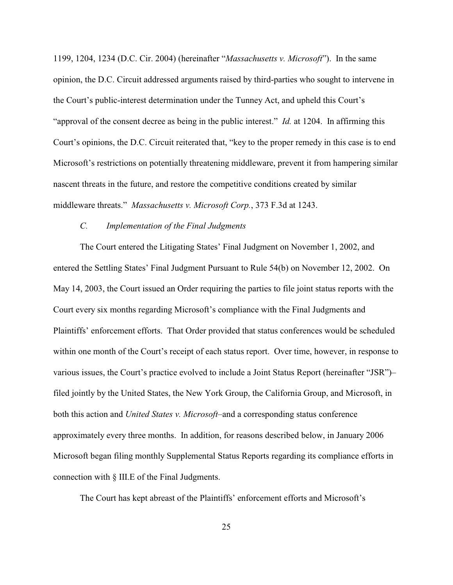1199, 1204, 1234 (D.C. Cir. 2004) (hereinafter "*Massachusetts v. Microsoft*"). In the same opinion, the D.C. Circuit addressed arguments raised by third-parties who sought to intervene in the Court's public-interest determination under the Tunney Act, and upheld this Court's "approval of the consent decree as being in the public interest." *Id.* at 1204. In affirming this Court's opinions, the D.C. Circuit reiterated that, "key to the proper remedy in this case is to end Microsoft's restrictions on potentially threatening middleware, prevent it from hampering similar nascent threats in the future, and restore the competitive conditions created by similar middleware threats." *Massachusetts v. Microsoft Corp.*, 373 F.3d at 1243.

# *C. Implementation of the Final Judgments*

The Court entered the Litigating States' Final Judgment on November 1, 2002, and entered the Settling States' Final Judgment Pursuant to Rule 54(b) on November 12, 2002. On May 14, 2003, the Court issued an Order requiring the parties to file joint status reports with the Court every six months regarding Microsoft's compliance with the Final Judgments and Plaintiffs' enforcement efforts. That Order provided that status conferences would be scheduled within one month of the Court's receipt of each status report. Over time, however, in response to various issues, the Court's practice evolved to include a Joint Status Report (hereinafter "JSR")– filed jointly by the United States, the New York Group, the California Group, and Microsoft, in both this action and *United States v. Microsoft*–and a corresponding status conference approximately every three months. In addition, for reasons described below, in January 2006 Microsoft began filing monthly Supplemental Status Reports regarding its compliance efforts in connection with § III.E of the Final Judgments.

The Court has kept abreast of the Plaintiffs' enforcement efforts and Microsoft's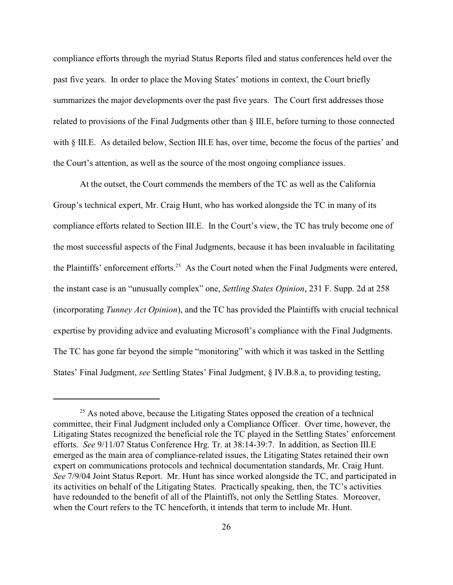compliance efforts through the myriad Status Reports filed and status conferences held over the past five years. In order to place the Moving States' motions in context, the Court briefly summarizes the major developments over the past five years. The Court first addresses those related to provisions of the Final Judgments other than § III.E, before turning to those connected with § III.E. As detailed below, Section III.E has, over time, become the focus of the parties' and the Court's attention, as well as the source of the most ongoing compliance issues.

At the outset, the Court commends the members of the TC as well as the California Group's technical expert, Mr. Craig Hunt, who has worked alongside the TC in many of its compliance efforts related to Section III.E. In the Court's view, the TC has truly become one of the most successful aspects of the Final Judgments, because it has been invaluable in facilitating the Plaintiffs' enforcement efforts.<sup>25</sup> As the Court noted when the Final Judgments were entered, the instant case is an "unusually complex" one, *Settling States Opinion*, 231 F. Supp. 2d at 258 (incorporating *Tunney Act Opinion*), and the TC has provided the Plaintiffs with crucial technical expertise by providing advice and evaluating Microsoft's compliance with the Final Judgments. The TC has gone far beyond the simple "monitoring" with which it was tasked in the Settling States' Final Judgment, *see* Settling States' Final Judgment, § IV.B.8.a, to providing testing,

 $25$  As noted above, because the Litigating States opposed the creation of a technical committee, their Final Judgment included only a Compliance Officer. Over time, however, the Litigating States recognized the beneficial role the TC played in the Settling States' enforcement efforts. *See* 9/11/07 Status Conference Hrg. Tr. at 38:14-39:7. In addition, as Section III.E emerged as the main area of compliance-related issues, the Litigating States retained their own expert on communications protocols and technical documentation standards, Mr. Craig Hunt. *See* 7/9/04 Joint Status Report. Mr. Hunt has since worked alongside the TC, and participated in its activities on behalf of the Litigating States. Practically speaking, then, the TC's activities have redounded to the benefit of all of the Plaintiffs, not only the Settling States. Moreover, when the Court refers to the TC henceforth, it intends that term to include Mr. Hunt.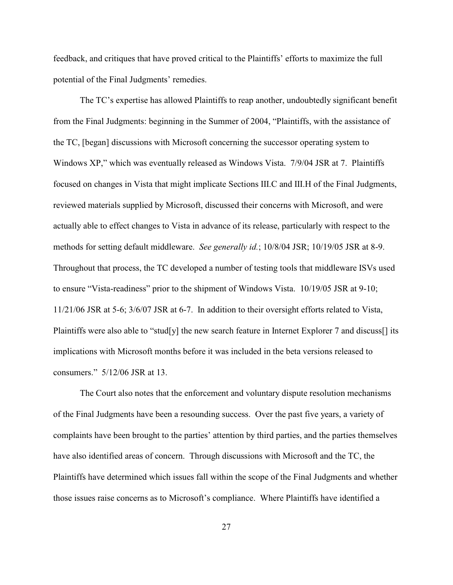feedback, and critiques that have proved critical to the Plaintiffs' efforts to maximize the full potential of the Final Judgments' remedies.

The TC's expertise has allowed Plaintiffs to reap another, undoubtedly significant benefit from the Final Judgments: beginning in the Summer of 2004, "Plaintiffs, with the assistance of the TC, [began] discussions with Microsoft concerning the successor operating system to Windows XP," which was eventually released as Windows Vista. 7/9/04 JSR at 7. Plaintiffs focused on changes in Vista that might implicate Sections III.C and III.H of the Final Judgments, reviewed materials supplied by Microsoft, discussed their concerns with Microsoft, and were actually able to effect changes to Vista in advance of its release, particularly with respect to the methods for setting default middleware. *See generally id.*; 10/8/04 JSR; 10/19/05 JSR at 8-9. Throughout that process, the TC developed a number of testing tools that middleware ISVs used to ensure "Vista-readiness" prior to the shipment of Windows Vista. 10/19/05 JSR at 9-10; 11/21/06 JSR at 5-6; 3/6/07 JSR at 6-7. In addition to their oversight efforts related to Vista, Plaintiffs were also able to "stud[y] the new search feature in Internet Explorer 7 and discuss[] its implications with Microsoft months before it was included in the beta versions released to consumers." 5/12/06 JSR at 13.

The Court also notes that the enforcement and voluntary dispute resolution mechanisms of the Final Judgments have been a resounding success. Over the past five years, a variety of complaints have been brought to the parties' attention by third parties, and the parties themselves have also identified areas of concern. Through discussions with Microsoft and the TC, the Plaintiffs have determined which issues fall within the scope of the Final Judgments and whether those issues raise concerns as to Microsoft's compliance. Where Plaintiffs have identified a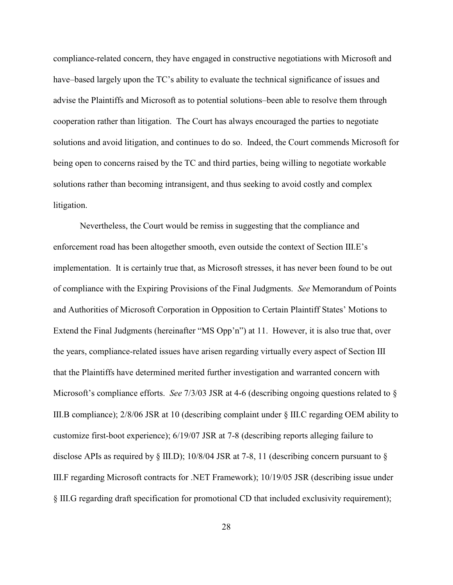compliance-related concern, they have engaged in constructive negotiations with Microsoft and have–based largely upon the TC's ability to evaluate the technical significance of issues and advise the Plaintiffs and Microsoft as to potential solutions–been able to resolve them through cooperation rather than litigation. The Court has always encouraged the parties to negotiate solutions and avoid litigation, and continues to do so. Indeed, the Court commends Microsoft for being open to concerns raised by the TC and third parties, being willing to negotiate workable solutions rather than becoming intransigent, and thus seeking to avoid costly and complex litigation.

Nevertheless, the Court would be remiss in suggesting that the compliance and enforcement road has been altogether smooth, even outside the context of Section III.E's implementation. It is certainly true that, as Microsoft stresses, it has never been found to be out of compliance with the Expiring Provisions of the Final Judgments. *See* Memorandum of Points and Authorities of Microsoft Corporation in Opposition to Certain Plaintiff States' Motions to Extend the Final Judgments (hereinafter "MS Opp'n") at 11. However, it is also true that, over the years, compliance-related issues have arisen regarding virtually every aspect of Section III that the Plaintiffs have determined merited further investigation and warranted concern with Microsoft's compliance efforts. *See* 7/3/03 JSR at 4-6 (describing ongoing questions related to § III.B compliance); 2/8/06 JSR at 10 (describing complaint under § III.C regarding OEM ability to customize first-boot experience); 6/19/07 JSR at 7-8 (describing reports alleging failure to disclose APIs as required by  $\S$  III.D); 10/8/04 JSR at 7-8, 11 (describing concern pursuant to  $\S$ III.F regarding Microsoft contracts for .NET Framework); 10/19/05 JSR (describing issue under § III.G regarding draft specification for promotional CD that included exclusivity requirement);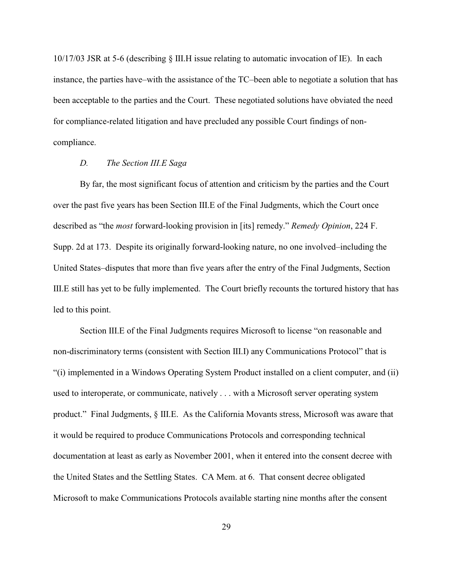10/17/03 JSR at 5-6 (describing § III.H issue relating to automatic invocation of IE). In each instance, the parties have–with the assistance of the TC–been able to negotiate a solution that has been acceptable to the parties and the Court. These negotiated solutions have obviated the need for compliance-related litigation and have precluded any possible Court findings of noncompliance.

# *D. The Section III.E Saga*

By far, the most significant focus of attention and criticism by the parties and the Court over the past five years has been Section III.E of the Final Judgments, which the Court once described as "the *most* forward-looking provision in [its] remedy." *Remedy Opinion*, 224 F. Supp. 2d at 173. Despite its originally forward-looking nature, no one involved–including the United States–disputes that more than five years after the entry of the Final Judgments, Section III.E still has yet to be fully implemented. The Court briefly recounts the tortured history that has led to this point.

Section III.E of the Final Judgments requires Microsoft to license "on reasonable and non-discriminatory terms (consistent with Section III.I) any Communications Protocol" that is "(i) implemented in a Windows Operating System Product installed on a client computer, and (ii) used to interoperate, or communicate, natively . . . with a Microsoft server operating system product." Final Judgments, § III.E. As the California Movants stress, Microsoft was aware that it would be required to produce Communications Protocols and corresponding technical documentation at least as early as November 2001, when it entered into the consent decree with the United States and the Settling States. CA Mem. at 6. That consent decree obligated Microsoft to make Communications Protocols available starting nine months after the consent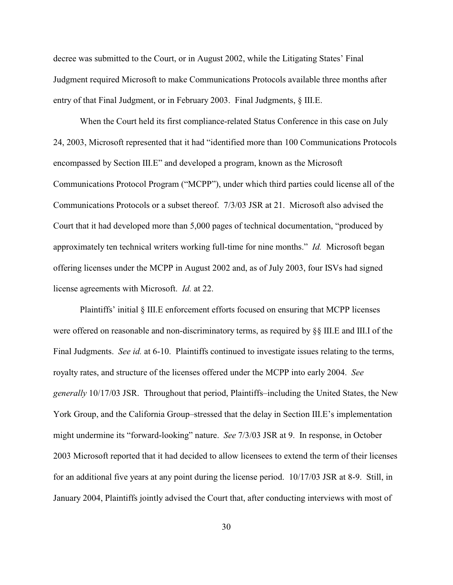decree was submitted to the Court, or in August 2002, while the Litigating States' Final Judgment required Microsoft to make Communications Protocols available three months after entry of that Final Judgment, or in February 2003. Final Judgments, § III.E.

When the Court held its first compliance-related Status Conference in this case on July 24, 2003, Microsoft represented that it had "identified more than 100 Communications Protocols encompassed by Section III.E" and developed a program, known as the Microsoft Communications Protocol Program ("MCPP"), under which third parties could license all of the Communications Protocols or a subset thereof. 7/3/03 JSR at 21. Microsoft also advised the Court that it had developed more than 5,000 pages of technical documentation, "produced by approximately ten technical writers working full-time for nine months." *Id.* Microsoft began offering licenses under the MCPP in August 2002 and, as of July 2003, four ISVs had signed license agreements with Microsoft. *Id.* at 22.

Plaintiffs' initial § III.E enforcement efforts focused on ensuring that MCPP licenses were offered on reasonable and non-discriminatory terms, as required by §§ III.E and III.I of the Final Judgments. *See id.* at 6-10. Plaintiffs continued to investigate issues relating to the terms, royalty rates, and structure of the licenses offered under the MCPP into early 2004. *See generally* 10/17/03 JSR. Throughout that period, Plaintiffs–including the United States, the New York Group, and the California Group–stressed that the delay in Section III.E's implementation might undermine its "forward-looking" nature. *See* 7/3/03 JSR at 9. In response, in October 2003 Microsoft reported that it had decided to allow licensees to extend the term of their licenses for an additional five years at any point during the license period. 10/17/03 JSR at 8-9. Still, in January 2004, Plaintiffs jointly advised the Court that, after conducting interviews with most of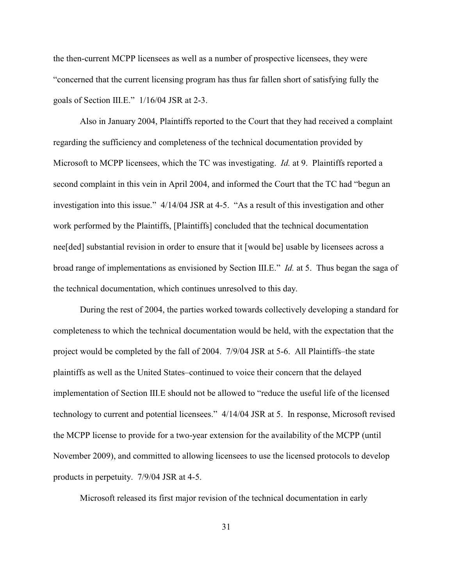the then-current MCPP licensees as well as a number of prospective licensees, they were "concerned that the current licensing program has thus far fallen short of satisfying fully the goals of Section III.E." 1/16/04 JSR at 2-3.

Also in January 2004, Plaintiffs reported to the Court that they had received a complaint regarding the sufficiency and completeness of the technical documentation provided by Microsoft to MCPP licensees, which the TC was investigating. *Id.* at 9. Plaintiffs reported a second complaint in this vein in April 2004, and informed the Court that the TC had "begun an investigation into this issue." 4/14/04 JSR at 4-5. "As a result of this investigation and other work performed by the Plaintiffs, [Plaintiffs] concluded that the technical documentation nee[ded] substantial revision in order to ensure that it [would be] usable by licensees across a broad range of implementations as envisioned by Section III.E." *Id.* at 5. Thus began the saga of the technical documentation, which continues unresolved to this day.

During the rest of 2004, the parties worked towards collectively developing a standard for completeness to which the technical documentation would be held, with the expectation that the project would be completed by the fall of 2004. 7/9/04 JSR at 5-6. All Plaintiffs–the state plaintiffs as well as the United States–continued to voice their concern that the delayed implementation of Section III.E should not be allowed to "reduce the useful life of the licensed technology to current and potential licensees." 4/14/04 JSR at 5. In response, Microsoft revised the MCPP license to provide for a two-year extension for the availability of the MCPP (until November 2009), and committed to allowing licensees to use the licensed protocols to develop products in perpetuity. 7/9/04 JSR at 4-5.

Microsoft released its first major revision of the technical documentation in early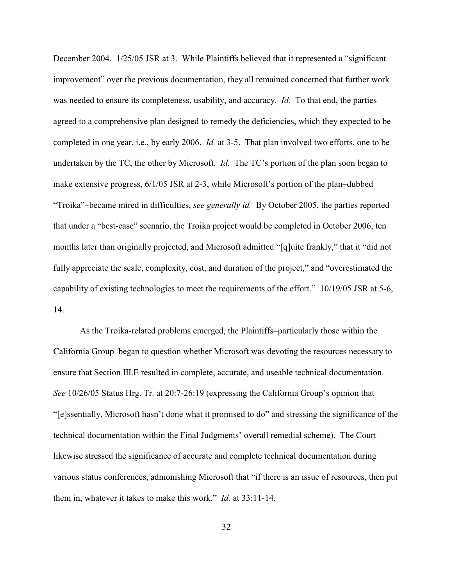December 2004. 1/25/05 JSR at 3. While Plaintiffs believed that it represented a "significant improvement" over the previous documentation, they all remained concerned that further work was needed to ensure its completeness, usability, and accuracy. *Id.* To that end, the parties agreed to a comprehensive plan designed to remedy the deficiencies, which they expected to be completed in one year, i.e., by early 2006. *Id.* at 3-5. That plan involved two efforts, one to be undertaken by the TC, the other by Microsoft. *Id.* The TC's portion of the plan soon began to make extensive progress, 6/1/05 JSR at 2-3, while Microsoft's portion of the plan–dubbed "Troika"–became mired in difficulties, *see generally id.* By October 2005, the parties reported that under a "best-case" scenario, the Troika project would be completed in October 2006, ten months later than originally projected, and Microsoft admitted "[q]uite frankly," that it "did not fully appreciate the scale, complexity, cost, and duration of the project," and "overestimated the capability of existing technologies to meet the requirements of the effort." 10/19/05 JSR at 5-6, 14.

As the Troika-related problems emerged, the Plaintiffs–particularly those within the California Group–began to question whether Microsoft was devoting the resources necessary to ensure that Section III.E resulted in complete, accurate, and useable technical documentation. *See* 10/26/05 Status Hrg. Tr. at 20:7-26:19 (expressing the California Group's opinion that "[e]ssentially, Microsoft hasn't done what it promised to do" and stressing the significance of the technical documentation within the Final Judgments' overall remedial scheme). The Court likewise stressed the significance of accurate and complete technical documentation during various status conferences, admonishing Microsoft that "if there is an issue of resources, then put them in, whatever it takes to make this work." *Id.* at 33:11-14.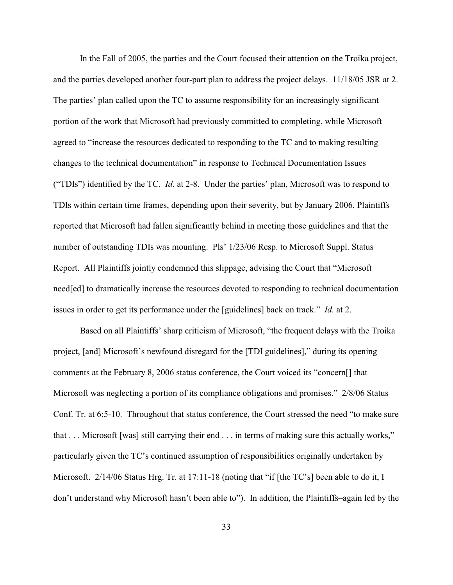In the Fall of 2005, the parties and the Court focused their attention on the Troika project, and the parties developed another four-part plan to address the project delays. 11/18/05 JSR at 2. The parties' plan called upon the TC to assume responsibility for an increasingly significant portion of the work that Microsoft had previously committed to completing, while Microsoft agreed to "increase the resources dedicated to responding to the TC and to making resulting changes to the technical documentation" in response to Technical Documentation Issues ("TDIs") identified by the TC. *Id.* at 2-8. Under the parties' plan, Microsoft was to respond to TDIs within certain time frames, depending upon their severity, but by January 2006, Plaintiffs reported that Microsoft had fallen significantly behind in meeting those guidelines and that the number of outstanding TDIs was mounting. Pls' 1/23/06 Resp. to Microsoft Suppl. Status Report. All Plaintiffs jointly condemned this slippage, advising the Court that "Microsoft need[ed] to dramatically increase the resources devoted to responding to technical documentation issues in order to get its performance under the [guidelines] back on track." *Id.* at 2.

Based on all Plaintiffs' sharp criticism of Microsoft, "the frequent delays with the Troika project, [and] Microsoft's newfound disregard for the [TDI guidelines]," during its opening comments at the February 8, 2006 status conference, the Court voiced its "concern[] that Microsoft was neglecting a portion of its compliance obligations and promises." 2/8/06 Status Conf. Tr. at 6:5-10. Throughout that status conference, the Court stressed the need "to make sure that . . . Microsoft [was] still carrying their end . . . in terms of making sure this actually works," particularly given the TC's continued assumption of responsibilities originally undertaken by Microsoft. 2/14/06 Status Hrg. Tr. at 17:11-18 (noting that "if [the TC's] been able to do it, I don't understand why Microsoft hasn't been able to"). In addition, the Plaintiffs–again led by the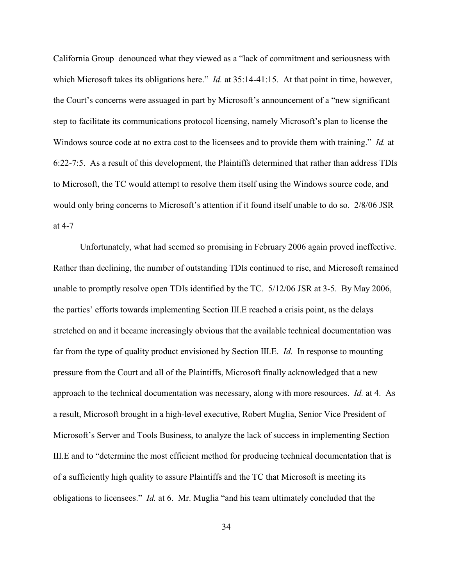California Group–denounced what they viewed as a "lack of commitment and seriousness with which Microsoft takes its obligations here." *Id.* at 35:14-41:15. At that point in time, however, the Court's concerns were assuaged in part by Microsoft's announcement of a "new significant step to facilitate its communications protocol licensing, namely Microsoft's plan to license the Windows source code at no extra cost to the licensees and to provide them with training." *Id.* at 6:22-7:5. As a result of this development, the Plaintiffs determined that rather than address TDIs to Microsoft, the TC would attempt to resolve them itself using the Windows source code, and would only bring concerns to Microsoft's attention if it found itself unable to do so. 2/8/06 JSR at 4-7

Unfortunately, what had seemed so promising in February 2006 again proved ineffective. Rather than declining, the number of outstanding TDIs continued to rise, and Microsoft remained unable to promptly resolve open TDIs identified by the TC. 5/12/06 JSR at 3-5. By May 2006, the parties' efforts towards implementing Section III.E reached a crisis point, as the delays stretched on and it became increasingly obvious that the available technical documentation was far from the type of quality product envisioned by Section III.E. *Id.* In response to mounting pressure from the Court and all of the Plaintiffs, Microsoft finally acknowledged that a new approach to the technical documentation was necessary, along with more resources. *Id.* at 4. As a result, Microsoft brought in a high-level executive, Robert Muglia, Senior Vice President of Microsoft's Server and Tools Business, to analyze the lack of success in implementing Section III.E and to "determine the most efficient method for producing technical documentation that is of a sufficiently high quality to assure Plaintiffs and the TC that Microsoft is meeting its obligations to licensees." *Id.* at 6. Mr. Muglia "and his team ultimately concluded that the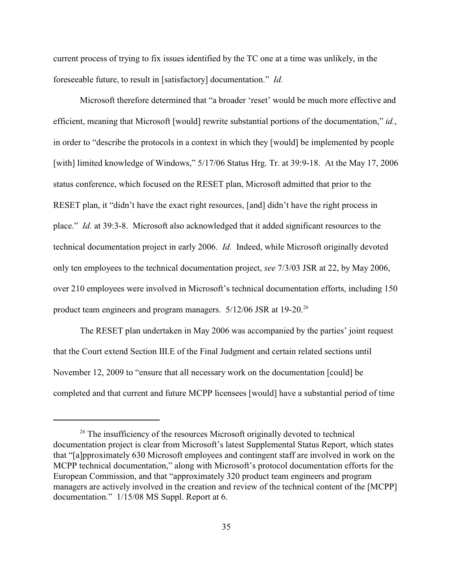current process of trying to fix issues identified by the TC one at a time was unlikely, in the foreseeable future, to result in [satisfactory] documentation." *Id.*

Microsoft therefore determined that "a broader 'reset' would be much more effective and efficient, meaning that Microsoft [would] rewrite substantial portions of the documentation," *id.*, in order to "describe the protocols in a context in which they [would] be implemented by people [with] limited knowledge of Windows,"  $5/17/06$  Status Hrg. Tr. at 39:9-18. At the May 17, 2006 status conference, which focused on the RESET plan, Microsoft admitted that prior to the RESET plan, it "didn't have the exact right resources, [and] didn't have the right process in place." *Id.* at 39:3-8. Microsoft also acknowledged that it added significant resources to the technical documentation project in early 2006. *Id.* Indeed, while Microsoft originally devoted only ten employees to the technical documentation project, *see* 7/3/03 JSR at 22, by May 2006, over 210 employees were involved in Microsoft's technical documentation efforts, including 150 product team engineers and program managers.  $5/12/06$  JSR at 19-20.<sup>26</sup>

The RESET plan undertaken in May 2006 was accompanied by the parties' joint request that the Court extend Section III.E of the Final Judgment and certain related sections until November 12, 2009 to "ensure that all necessary work on the documentation [could] be completed and that current and future MCPP licensees [would] have a substantial period of time

 $26$  The insufficiency of the resources Microsoft originally devoted to technical documentation project is clear from Microsoft's latest Supplemental Status Report, which states that "[a]pproximately 630 Microsoft employees and contingent staff are involved in work on the MCPP technical documentation," along with Microsoft's protocol documentation efforts for the European Commission, and that "approximately 320 product team engineers and program managers are actively involved in the creation and review of the technical content of the [MCPP] documentation." 1/15/08 MS Suppl. Report at 6.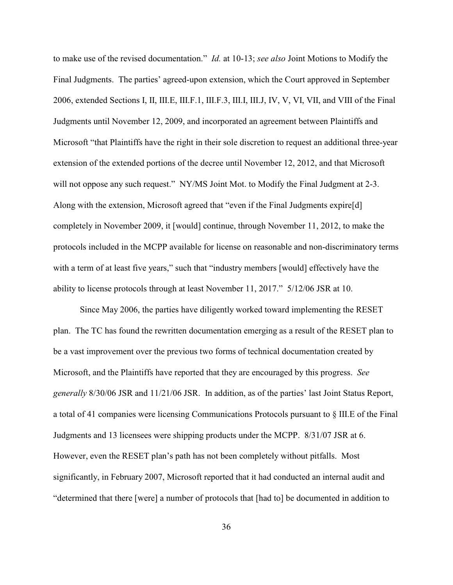to make use of the revised documentation." *Id.* at 10-13; *see also* Joint Motions to Modify the Final Judgments. The parties' agreed-upon extension, which the Court approved in September 2006, extended Sections I, II, III.E, III.F.1, III.F.3, III.I, III.J, IV, V, VI, VII, and VIII of the Final Judgments until November 12, 2009, and incorporated an agreement between Plaintiffs and Microsoft "that Plaintiffs have the right in their sole discretion to request an additional three-year extension of the extended portions of the decree until November 12, 2012, and that Microsoft will not oppose any such request." NY/MS Joint Mot. to Modify the Final Judgment at 2-3. Along with the extension, Microsoft agreed that "even if the Final Judgments expire[d] completely in November 2009, it [would] continue, through November 11, 2012, to make the protocols included in the MCPP available for license on reasonable and non-discriminatory terms with a term of at least five years," such that "industry members [would] effectively have the ability to license protocols through at least November 11, 2017." 5/12/06 JSR at 10.

Since May 2006, the parties have diligently worked toward implementing the RESET plan. The TC has found the rewritten documentation emerging as a result of the RESET plan to be a vast improvement over the previous two forms of technical documentation created by Microsoft, and the Plaintiffs have reported that they are encouraged by this progress. *See generally* 8/30/06 JSR and 11/21/06 JSR. In addition, as of the parties' last Joint Status Report, a total of 41 companies were licensing Communications Protocols pursuant to § III.E of the Final Judgments and 13 licensees were shipping products under the MCPP. 8/31/07 JSR at 6. However, even the RESET plan's path has not been completely without pitfalls. Most significantly, in February 2007, Microsoft reported that it had conducted an internal audit and "determined that there [were] a number of protocols that [had to] be documented in addition to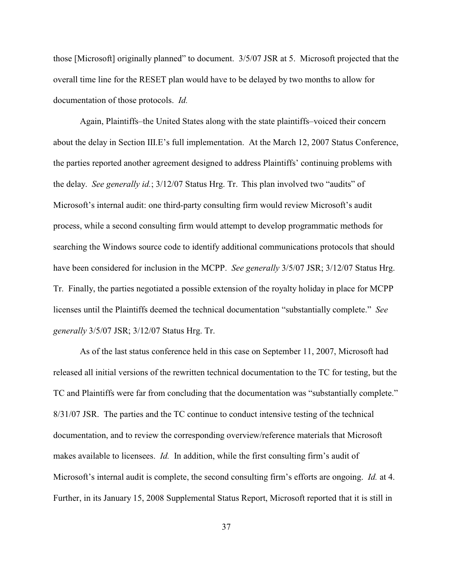those [Microsoft] originally planned" to document. 3/5/07 JSR at 5. Microsoft projected that the overall time line for the RESET plan would have to be delayed by two months to allow for documentation of those protocols. *Id.*

Again, Plaintiffs–the United States along with the state plaintiffs–voiced their concern about the delay in Section III.E's full implementation. At the March 12, 2007 Status Conference, the parties reported another agreement designed to address Plaintiffs' continuing problems with the delay. *See generally id.*; 3/12/07 Status Hrg. Tr. This plan involved two "audits" of Microsoft's internal audit: one third-party consulting firm would review Microsoft's audit process, while a second consulting firm would attempt to develop programmatic methods for searching the Windows source code to identify additional communications protocols that should have been considered for inclusion in the MCPP. *See generally* 3/5/07 JSR; 3/12/07 Status Hrg. Tr. Finally, the parties negotiated a possible extension of the royalty holiday in place for MCPP licenses until the Plaintiffs deemed the technical documentation "substantially complete." *See generally* 3/5/07 JSR; 3/12/07 Status Hrg. Tr.

As of the last status conference held in this case on September 11, 2007, Microsoft had released all initial versions of the rewritten technical documentation to the TC for testing, but the TC and Plaintiffs were far from concluding that the documentation was "substantially complete." 8/31/07 JSR. The parties and the TC continue to conduct intensive testing of the technical documentation, and to review the corresponding overview/reference materials that Microsoft makes available to licensees. *Id.* In addition, while the first consulting firm's audit of Microsoft's internal audit is complete, the second consulting firm's efforts are ongoing. *Id.* at 4. Further, in its January 15, 2008 Supplemental Status Report, Microsoft reported that it is still in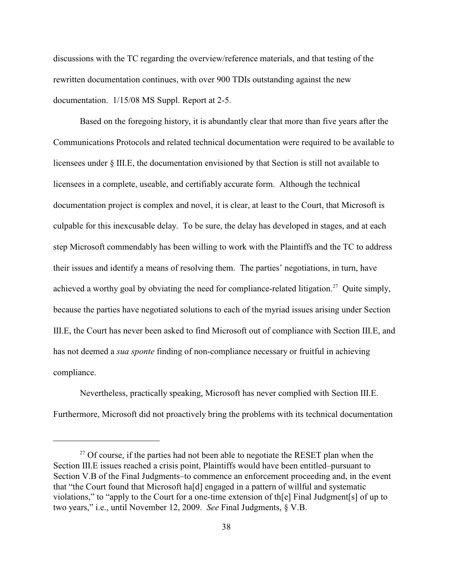discussions with the TC regarding the overview/reference materials, and that testing of the rewritten documentation continues, with over 900 TDIs outstanding against the new documentation. 1/15/08 MS Suppl. Report at 2-5.

Based on the foregoing history, it is abundantly clear that more than five years after the Communications Protocols and related technical documentation were required to be available to licensees under § III.E, the documentation envisioned by that Section is still not available to licensees in a complete, useable, and certifiably accurate form. Although the technical documentation project is complex and novel, it is clear, at least to the Court, that Microsoft is culpable for this inexcusable delay. To be sure, the delay has developed in stages, and at each step Microsoft commendably has been willing to work with the Plaintiffs and the TC to address their issues and identify a means of resolving them. The parties' negotiations, in turn, have achieved a worthy goal by obviating the need for compliance-related litigation.<sup>27</sup> Quite simply, because the parties have negotiated solutions to each of the myriad issues arising under Section III.E, the Court has never been asked to find Microsoft out of compliance with Section III.E, and has not deemed a *sua sponte* finding of non-compliance necessary or fruitful in achieving compliance.

Nevertheless, practically speaking, Microsoft has never complied with Section III.E. Furthermore, Microsoft did not proactively bring the problems with its technical documentation

 $27$  Of course, if the parties had not been able to negotiate the RESET plan when the Section III.E issues reached a crisis point, Plaintiffs would have been entitled–pursuant to Section V.B of the Final Judgments–to commence an enforcement proceeding and, in the event that "the Court found that Microsoft ha[d] engaged in a pattern of willful and systematic violations," to "apply to the Court for a one-time extension of th[e] Final Judgment[s] of up to two years," i.e., until November 12, 2009. *See* Final Judgments, § V.B.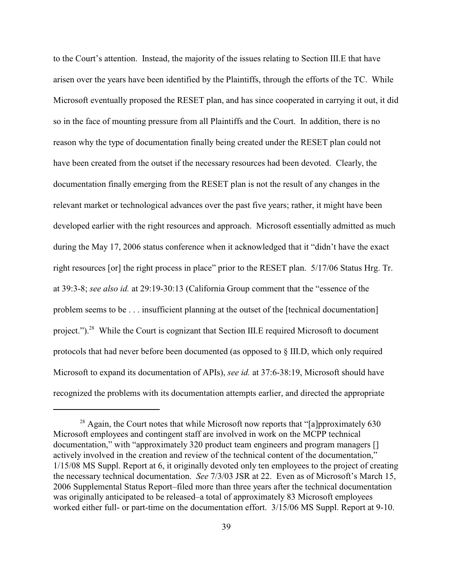to the Court's attention. Instead, the majority of the issues relating to Section III.E that have arisen over the years have been identified by the Plaintiffs, through the efforts of the TC. While Microsoft eventually proposed the RESET plan, and has since cooperated in carrying it out, it did so in the face of mounting pressure from all Plaintiffs and the Court. In addition, there is no reason why the type of documentation finally being created under the RESET plan could not have been created from the outset if the necessary resources had been devoted. Clearly, the documentation finally emerging from the RESET plan is not the result of any changes in the relevant market or technological advances over the past five years; rather, it might have been developed earlier with the right resources and approach. Microsoft essentially admitted as much during the May 17, 2006 status conference when it acknowledged that it "didn't have the exact right resources [or] the right process in place" prior to the RESET plan. 5/17/06 Status Hrg. Tr. at 39:3-8; *see also id.* at 29:19-30:13 (California Group comment that the "essence of the problem seems to be . . . insufficient planning at the outset of the [technical documentation] project.").<sup>28</sup> While the Court is cognizant that Section III.E required Microsoft to document protocols that had never before been documented (as opposed to § III.D, which only required Microsoft to expand its documentation of APIs), *see id.* at 37:6-38:19, Microsoft should have recognized the problems with its documentation attempts earlier, and directed the appropriate

 $^{28}$  Again, the Court notes that while Microsoft now reports that "[a]pproximately 630 Microsoft employees and contingent staff are involved in work on the MCPP technical documentation," with "approximately 320 product team engineers and program managers [] actively involved in the creation and review of the technical content of the documentation," 1/15/08 MS Suppl. Report at 6, it originally devoted only ten employees to the project of creating the necessary technical documentation. *See* 7/3/03 JSR at 22. Even as of Microsoft's March 15, 2006 Supplemental Status Report–filed more than three years after the technical documentation was originally anticipated to be released–a total of approximately 83 Microsoft employees worked either full- or part-time on the documentation effort. 3/15/06 MS Suppl. Report at 9-10.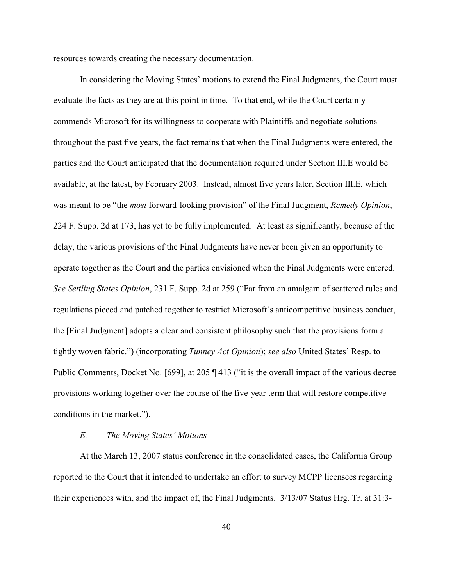resources towards creating the necessary documentation.

In considering the Moving States' motions to extend the Final Judgments, the Court must evaluate the facts as they are at this point in time. To that end, while the Court certainly commends Microsoft for its willingness to cooperate with Plaintiffs and negotiate solutions throughout the past five years, the fact remains that when the Final Judgments were entered, the parties and the Court anticipated that the documentation required under Section III.E would be available, at the latest, by February 2003. Instead, almost five years later, Section III.E, which was meant to be "the *most* forward-looking provision" of the Final Judgment, *Remedy Opinion*, 224 F. Supp. 2d at 173, has yet to be fully implemented. At least as significantly, because of the delay, the various provisions of the Final Judgments have never been given an opportunity to operate together as the Court and the parties envisioned when the Final Judgments were entered. *See Settling States Opinion*, 231 F. Supp. 2d at 259 ("Far from an amalgam of scattered rules and regulations pieced and patched together to restrict Microsoft's anticompetitive business conduct, the [Final Judgment] adopts a clear and consistent philosophy such that the provisions form a tightly woven fabric.") (incorporating *Tunney Act Opinion*); *see also* United States' Resp. to Public Comments, Docket No. [699], at 205 ¶ 413 ("it is the overall impact of the various decree provisions working together over the course of the five-year term that will restore competitive conditions in the market.").

## *E. The Moving States' Motions*

At the March 13, 2007 status conference in the consolidated cases, the California Group reported to the Court that it intended to undertake an effort to survey MCPP licensees regarding their experiences with, and the impact of, the Final Judgments. 3/13/07 Status Hrg. Tr. at 31:3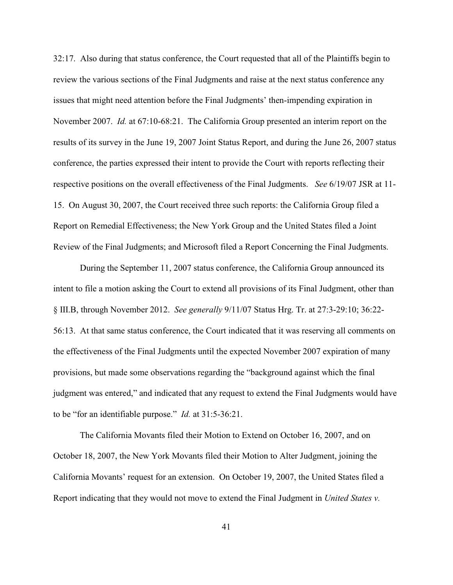32:17. Also during that status conference, the Court requested that all of the Plaintiffs begin to review the various sections of the Final Judgments and raise at the next status conference any issues that might need attention before the Final Judgments' then-impending expiration in November 2007. *Id.* at 67:10-68:21. The California Group presented an interim report on the results of its survey in the June 19, 2007 Joint Status Report, and during the June 26, 2007 status conference, the parties expressed their intent to provide the Court with reports reflecting their respective positions on the overall effectiveness of the Final Judgments. *See* 6/19/07 JSR at 11- 15. On August 30, 2007, the Court received three such reports: the California Group filed a Report on Remedial Effectiveness; the New York Group and the United States filed a Joint Review of the Final Judgments; and Microsoft filed a Report Concerning the Final Judgments.

During the September 11, 2007 status conference, the California Group announced its intent to file a motion asking the Court to extend all provisions of its Final Judgment, other than § III.B, through November 2012. *See generally* 9/11/07 Status Hrg. Tr. at 27:3-29:10; 36:22- 56:13. At that same status conference, the Court indicated that it was reserving all comments on the effectiveness of the Final Judgments until the expected November 2007 expiration of many provisions, but made some observations regarding the "background against which the final judgment was entered," and indicated that any request to extend the Final Judgments would have to be "for an identifiable purpose." *Id.* at 31:5-36:21.

The California Movants filed their Motion to Extend on October 16, 2007, and on October 18, 2007, the New York Movants filed their Motion to Alter Judgment, joining the California Movants' request for an extension. On October 19, 2007, the United States filed a Report indicating that they would not move to extend the Final Judgment in *United States v.*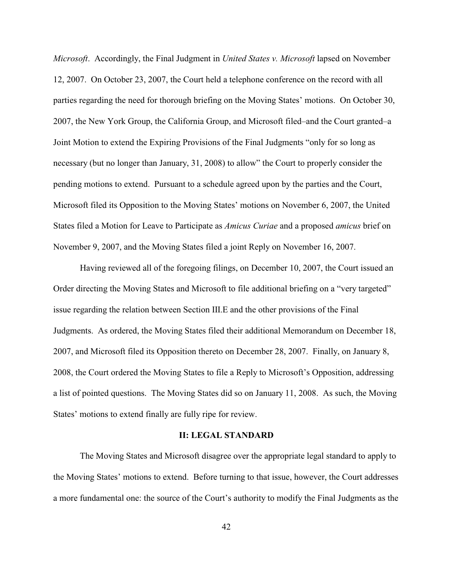*Microsoft*. Accordingly, the Final Judgment in *United States v. Microsoft* lapsed on November 12, 2007. On October 23, 2007, the Court held a telephone conference on the record with all parties regarding the need for thorough briefing on the Moving States' motions. On October 30, 2007, the New York Group, the California Group, and Microsoft filed–and the Court granted–a Joint Motion to extend the Expiring Provisions of the Final Judgments "only for so long as necessary (but no longer than January, 31, 2008) to allow" the Court to properly consider the pending motions to extend. Pursuant to a schedule agreed upon by the parties and the Court, Microsoft filed its Opposition to the Moving States' motions on November 6, 2007, the United States filed a Motion for Leave to Participate as *Amicus Curiae* and a proposed *amicus* brief on November 9, 2007, and the Moving States filed a joint Reply on November 16, 2007.

Having reviewed all of the foregoing filings, on December 10, 2007, the Court issued an Order directing the Moving States and Microsoft to file additional briefing on a "very targeted" issue regarding the relation between Section III.E and the other provisions of the Final Judgments. As ordered, the Moving States filed their additional Memorandum on December 18, 2007, and Microsoft filed its Opposition thereto on December 28, 2007. Finally, on January 8, 2008, the Court ordered the Moving States to file a Reply to Microsoft's Opposition, addressing a list of pointed questions. The Moving States did so on January 11, 2008. As such, the Moving States' motions to extend finally are fully ripe for review.

## **II: LEGAL STANDARD**

The Moving States and Microsoft disagree over the appropriate legal standard to apply to the Moving States' motions to extend. Before turning to that issue, however, the Court addresses a more fundamental one: the source of the Court's authority to modify the Final Judgments as the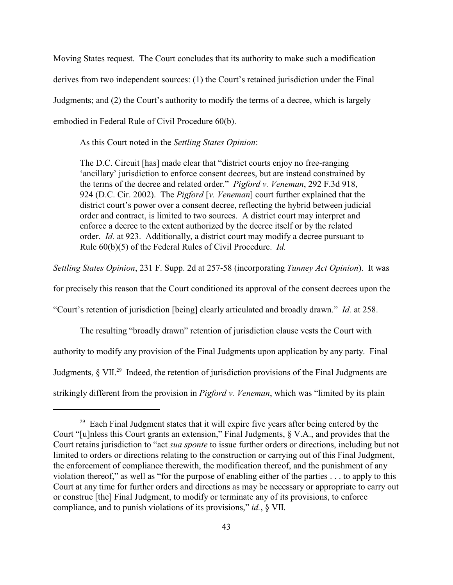Moving States request. The Court concludes that its authority to make such a modification derives from two independent sources: (1) the Court's retained jurisdiction under the Final Judgments; and (2) the Court's authority to modify the terms of a decree, which is largely embodied in Federal Rule of Civil Procedure 60(b).

As this Court noted in the *Settling States Opinion*:

The D.C. Circuit [has] made clear that "district courts enjoy no free-ranging 'ancillary' jurisdiction to enforce consent decrees, but are instead constrained by the terms of the decree and related order." *Pigford v. Veneman*, 292 F.3d 918, 924 (D.C. Cir. 2002). The *Pigford* [*v. Veneman*] court further explained that the district court's power over a consent decree, reflecting the hybrid between judicial order and contract, is limited to two sources. A district court may interpret and enforce a decree to the extent authorized by the decree itself or by the related order. *Id.* at 923. Additionally, a district court may modify a decree pursuant to Rule 60(b)(5) of the Federal Rules of Civil Procedure. *Id.*

*Settling States Opinion*, 231 F. Supp. 2d at 257-58 (incorporating *Tunney Act Opinion*). It was

for precisely this reason that the Court conditioned its approval of the consent decrees upon the

"Court's retention of jurisdiction [being] clearly articulated and broadly drawn." *Id.* at 258.

The resulting "broadly drawn" retention of jurisdiction clause vests the Court with authority to modify any provision of the Final Judgments upon application by any party. Final Judgments,  $\S$  VII.<sup>29</sup> Indeed, the retention of jurisdiction provisions of the Final Judgments are strikingly different from the provision in *Pigford v. Veneman*, which was "limited by its plain

 $29$  Each Final Judgment states that it will expire five years after being entered by the Court "[u]nless this Court grants an extension," Final Judgments, § V.A., and provides that the Court retains jurisdiction to "act *sua sponte* to issue further orders or directions, including but not limited to orders or directions relating to the construction or carrying out of this Final Judgment, the enforcement of compliance therewith, the modification thereof, and the punishment of any violation thereof," as well as "for the purpose of enabling either of the parties . . . to apply to this Court at any time for further orders and directions as may be necessary or appropriate to carry out or construe [the] Final Judgment, to modify or terminate any of its provisions, to enforce compliance, and to punish violations of its provisions," *id.*, § VII.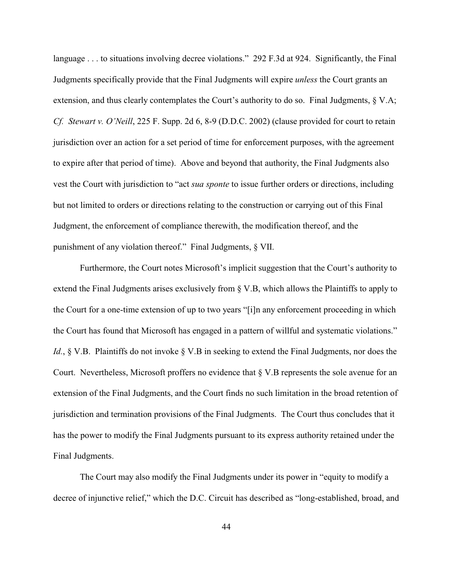language . . . to situations involving decree violations." 292 F.3d at 924. Significantly, the Final Judgments specifically provide that the Final Judgments will expire *unless* the Court grants an extension, and thus clearly contemplates the Court's authority to do so. Final Judgments, § V.A; *Cf. Stewart v. O'Neill*, 225 F. Supp. 2d 6, 8-9 (D.D.C. 2002) (clause provided for court to retain jurisdiction over an action for a set period of time for enforcement purposes, with the agreement to expire after that period of time). Above and beyond that authority, the Final Judgments also vest the Court with jurisdiction to "act *sua sponte* to issue further orders or directions, including but not limited to orders or directions relating to the construction or carrying out of this Final Judgment, the enforcement of compliance therewith, the modification thereof, and the punishment of any violation thereof." Final Judgments, § VII.

Furthermore, the Court notes Microsoft's implicit suggestion that the Court's authority to extend the Final Judgments arises exclusively from § V.B, which allows the Plaintiffs to apply to the Court for a one-time extension of up to two years "[i]n any enforcement proceeding in which the Court has found that Microsoft has engaged in a pattern of willful and systematic violations." *Id.*, § V.B. Plaintiffs do not invoke § V.B in seeking to extend the Final Judgments, nor does the Court. Nevertheless, Microsoft proffers no evidence that § V.B represents the sole avenue for an extension of the Final Judgments, and the Court finds no such limitation in the broad retention of jurisdiction and termination provisions of the Final Judgments. The Court thus concludes that it has the power to modify the Final Judgments pursuant to its express authority retained under the Final Judgments.

The Court may also modify the Final Judgments under its power in "equity to modify a decree of injunctive relief," which the D.C. Circuit has described as "long-established, broad, and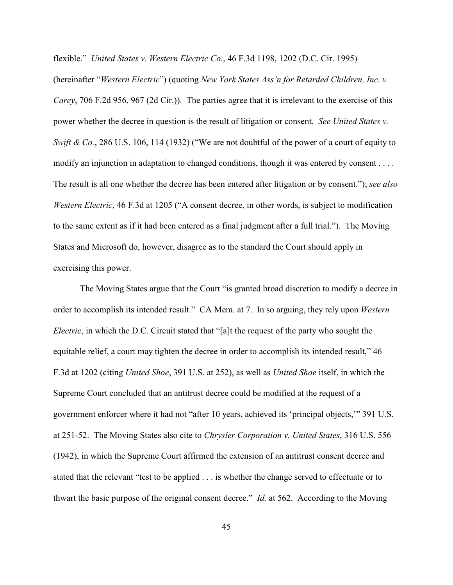flexible." *United States v. Western Electric Co.*, 46 F.3d 1198, 1202 (D.C. Cir. 1995)

(hereinafter "*Western Electric*") (quoting *New York States Ass'n for Retarded Children, Inc. v. Carey*, 706 F.2d 956, 967 (2d Cir.)). The parties agree that it is irrelevant to the exercise of this power whether the decree in question is the result of litigation or consent. *See United States v. Swift & Co.*, 286 U.S. 106, 114 (1932) ("We are not doubtful of the power of a court of equity to modify an injunction in adaptation to changed conditions, though it was entered by consent . . . . The result is all one whether the decree has been entered after litigation or by consent."); *see also Western Electric*, 46 F.3d at 1205 ("A consent decree, in other words, is subject to modification to the same extent as if it had been entered as a final judgment after a full trial."). The Moving States and Microsoft do, however, disagree as to the standard the Court should apply in exercising this power.

The Moving States argue that the Court "is granted broad discretion to modify a decree in order to accomplish its intended result." CA Mem. at 7. In so arguing, they rely upon *Western Electric*, in which the D.C. Circuit stated that "[a]t the request of the party who sought the equitable relief, a court may tighten the decree in order to accomplish its intended result," 46 F.3d at 1202 (citing *United Shoe*, 391 U.S. at 252), as well as *United Shoe* itself, in which the Supreme Court concluded that an antitrust decree could be modified at the request of a government enforcer where it had not "after 10 years, achieved its 'principal objects,'" 391 U.S. at 251-52. The Moving States also cite to *Chrysler Corporation v. United States*, 316 U.S. 556 (1942), in which the Supreme Court affirmed the extension of an antitrust consent decree and stated that the relevant "test to be applied . . . is whether the change served to effectuate or to thwart the basic purpose of the original consent decree." *Id.* at 562. According to the Moving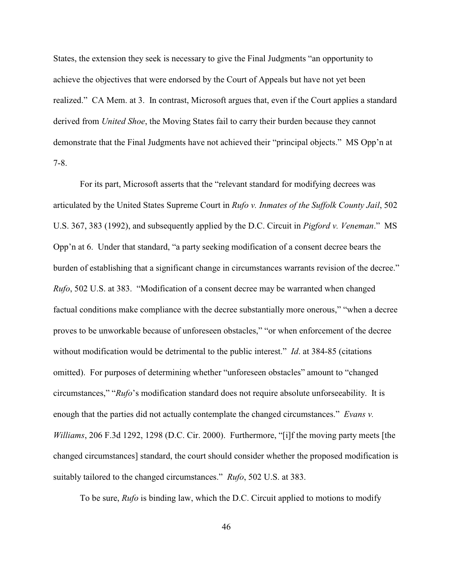States, the extension they seek is necessary to give the Final Judgments "an opportunity to achieve the objectives that were endorsed by the Court of Appeals but have not yet been realized." CA Mem. at 3. In contrast, Microsoft argues that, even if the Court applies a standard derived from *United Shoe*, the Moving States fail to carry their burden because they cannot demonstrate that the Final Judgments have not achieved their "principal objects." MS Opp'n at 7-8.

For its part, Microsoft asserts that the "relevant standard for modifying decrees was articulated by the United States Supreme Court in *Rufo v. Inmates of the Suffolk County Jail*, 502 U.S. 367, 383 (1992), and subsequently applied by the D.C. Circuit in *Pigford v. Veneman*." MS Opp'n at 6. Under that standard, "a party seeking modification of a consent decree bears the burden of establishing that a significant change in circumstances warrants revision of the decree." *Rufo*, 502 U.S. at 383. "Modification of a consent decree may be warranted when changed factual conditions make compliance with the decree substantially more onerous," "when a decree proves to be unworkable because of unforeseen obstacles," "or when enforcement of the decree without modification would be detrimental to the public interest." *Id*. at 384-85 (citations omitted). For purposes of determining whether "unforeseen obstacles" amount to "changed circumstances," "*Rufo*'s modification standard does not require absolute unforseeability. It is enough that the parties did not actually contemplate the changed circumstances." *Evans v. Williams*, 206 F.3d 1292, 1298 (D.C. Cir. 2000). Furthermore, "[i]f the moving party meets [the changed circumstances] standard, the court should consider whether the proposed modification is suitably tailored to the changed circumstances." *Rufo*, 502 U.S. at 383.

To be sure, *Rufo* is binding law, which the D.C. Circuit applied to motions to modify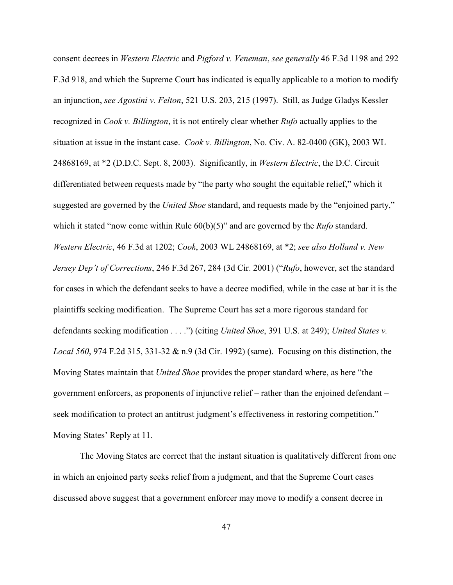consent decrees in *Western Electric* and *Pigford v. Veneman*, *see generally* 46 F.3d 1198 and 292 F.3d 918, and which the Supreme Court has indicated is equally applicable to a motion to modify an injunction, *see Agostini v. Felton*, 521 U.S. 203, 215 (1997). Still, as Judge Gladys Kessler recognized in *Cook v. Billington*, it is not entirely clear whether *Rufo* actually applies to the situation at issue in the instant case. *Cook v. Billington*, No. Civ. A. 82-0400 (GK), 2003 WL 24868169, at \*2 (D.D.C. Sept. 8, 2003). Significantly, in *Western Electric*, the D.C. Circuit differentiated between requests made by "the party who sought the equitable relief," which it suggested are governed by the *United Shoe* standard, and requests made by the "enjoined party," which it stated "now come within Rule  $60(b)(5)$ " and are governed by the *Rufo* standard. *Western Electric*, 46 F.3d at 1202; *Cook*, 2003 WL 24868169, at \*2; *see also Holland v. New Jersey Dep't of Corrections*, 246 F.3d 267, 284 (3d Cir. 2001) ("*Rufo*, however, set the standard for cases in which the defendant seeks to have a decree modified, while in the case at bar it is the plaintiffs seeking modification. The Supreme Court has set a more rigorous standard for defendants seeking modification . . . .") (citing *United Shoe*, 391 U.S. at 249); *United States v. Local 560*, 974 F.2d 315, 331-32 & n.9 (3d Cir. 1992) (same). Focusing on this distinction, the Moving States maintain that *United Shoe* provides the proper standard where, as here "the government enforcers, as proponents of injunctive relief – rather than the enjoined defendant – seek modification to protect an antitrust judgment's effectiveness in restoring competition." Moving States' Reply at 11.

The Moving States are correct that the instant situation is qualitatively different from one in which an enjoined party seeks relief from a judgment, and that the Supreme Court cases discussed above suggest that a government enforcer may move to modify a consent decree in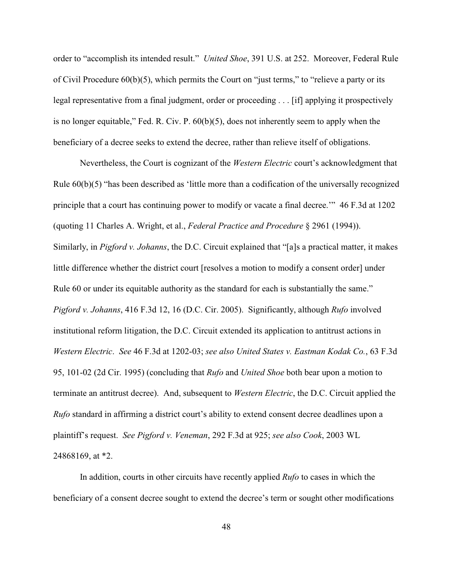order to "accomplish its intended result." *United Shoe*, 391 U.S. at 252. Moreover, Federal Rule of Civil Procedure 60(b)(5), which permits the Court on "just terms," to "relieve a party or its legal representative from a final judgment, order or proceeding . . . [if] applying it prospectively is no longer equitable," Fed. R. Civ. P. 60(b)(5), does not inherently seem to apply when the beneficiary of a decree seeks to extend the decree, rather than relieve itself of obligations.

Nevertheless, the Court is cognizant of the *Western Electric* court's acknowledgment that Rule 60(b)(5) "has been described as 'little more than a codification of the universally recognized principle that a court has continuing power to modify or vacate a final decree.'" 46 F.3d at 1202 (quoting 11 Charles A. Wright, et al., *Federal Practice and Procedure* § 2961 (1994)). Similarly, in *Pigford v. Johanns*, the D.C. Circuit explained that "[a]s a practical matter, it makes little difference whether the district court [resolves a motion to modify a consent order] under Rule 60 or under its equitable authority as the standard for each is substantially the same." *Pigford v. Johanns*, 416 F.3d 12, 16 (D.C. Cir. 2005). Significantly, although *Rufo* involved institutional reform litigation, the D.C. Circuit extended its application to antitrust actions in *Western Electric*. *See* 46 F.3d at 1202-03; *see also United States v. Eastman Kodak Co.*, 63 F.3d 95, 101-02 (2d Cir. 1995) (concluding that *Rufo* and *United Shoe* both bear upon a motion to terminate an antitrust decree). And, subsequent to *Western Electric*, the D.C. Circuit applied the *Rufo* standard in affirming a district court's ability to extend consent decree deadlines upon a plaintiff's request. *See Pigford v. Veneman*, 292 F.3d at 925; *see also Cook*, 2003 WL 24868169, at \*2.

In addition, courts in other circuits have recently applied *Rufo* to cases in which the beneficiary of a consent decree sought to extend the decree's term or sought other modifications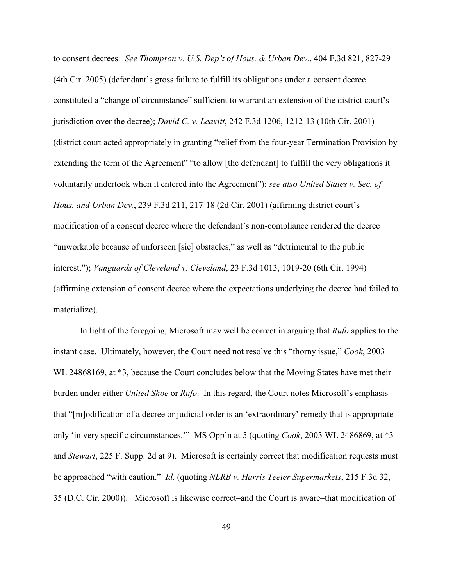to consent decrees. *See Thompson v. U.S. Dep't of Hous. & Urban Dev.*, 404 F.3d 821, 827-29 (4th Cir. 2005) (defendant's gross failure to fulfill its obligations under a consent decree constituted a "change of circumstance" sufficient to warrant an extension of the district court's jurisdiction over the decree); *David C. v. Leavitt*, 242 F.3d 1206, 1212-13 (10th Cir. 2001) (district court acted appropriately in granting "relief from the four-year Termination Provision by extending the term of the Agreement" "to allow [the defendant] to fulfill the very obligations it voluntarily undertook when it entered into the Agreement"); *see also United States v. Sec. of Hous. and Urban Dev.*, 239 F.3d 211, 217-18 (2d Cir. 2001) (affirming district court's modification of a consent decree where the defendant's non-compliance rendered the decree "unworkable because of unforseen [sic] obstacles," as well as "detrimental to the public interest."); *Vanguards of Cleveland v. Cleveland*, 23 F.3d 1013, 1019-20 (6th Cir. 1994) (affirming extension of consent decree where the expectations underlying the decree had failed to materialize).

In light of the foregoing, Microsoft may well be correct in arguing that *Rufo* applies to the instant case. Ultimately, however, the Court need not resolve this "thorny issue," *Cook*, 2003 WL 24868169, at \*3, because the Court concludes below that the Moving States have met their burden under either *United Shoe* or *Rufo*. In this regard, the Court notes Microsoft's emphasis that "[m]odification of a decree or judicial order is an 'extraordinary' remedy that is appropriate only 'in very specific circumstances.'" MS Opp'n at 5 (quoting *Cook*, 2003 WL 2486869, at \*3 and *Stewart*, 225 F. Supp. 2d at 9). Microsoft is certainly correct that modification requests must be approached "with caution." *Id.* (quoting *NLRB v. Harris Teeter Supermarkets*, 215 F.3d 32, 35 (D.C. Cir. 2000)). Microsoft is likewise correct–and the Court is aware–that modification of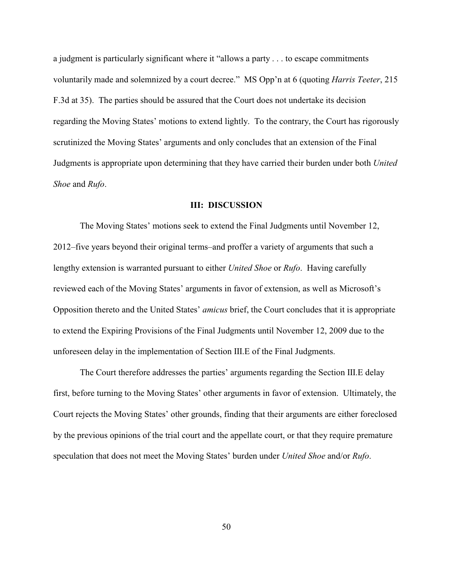a judgment is particularly significant where it "allows a party . . . to escape commitments voluntarily made and solemnized by a court decree." MS Opp'n at 6 (quoting *Harris Teeter*, 215 F.3d at 35). The parties should be assured that the Court does not undertake its decision regarding the Moving States' motions to extend lightly. To the contrary, the Court has rigorously scrutinized the Moving States' arguments and only concludes that an extension of the Final Judgments is appropriate upon determining that they have carried their burden under both *United Shoe* and *Rufo*.

#### **III: DISCUSSION**

The Moving States' motions seek to extend the Final Judgments until November 12, 2012–five years beyond their original terms–and proffer a variety of arguments that such a lengthy extension is warranted pursuant to either *United Shoe* or *Rufo*. Having carefully reviewed each of the Moving States' arguments in favor of extension, as well as Microsoft's Opposition thereto and the United States' *amicus* brief, the Court concludes that it is appropriate to extend the Expiring Provisions of the Final Judgments until November 12, 2009 due to the unforeseen delay in the implementation of Section III.E of the Final Judgments.

The Court therefore addresses the parties' arguments regarding the Section III.E delay first, before turning to the Moving States' other arguments in favor of extension. Ultimately, the Court rejects the Moving States' other grounds, finding that their arguments are either foreclosed by the previous opinions of the trial court and the appellate court, or that they require premature speculation that does not meet the Moving States' burden under *United Shoe* and/or *Rufo*.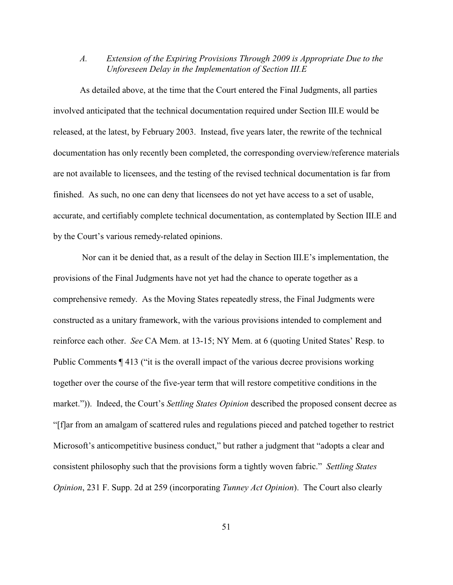# *A. Extension of the Expiring Provisions Through 2009 is Appropriate Due to the Unforeseen Delay in the Implementation of Section III.E*

As detailed above, at the time that the Court entered the Final Judgments, all parties involved anticipated that the technical documentation required under Section III.E would be released, at the latest, by February 2003. Instead, five years later, the rewrite of the technical documentation has only recently been completed, the corresponding overview/reference materials are not available to licensees, and the testing of the revised technical documentation is far from finished. As such, no one can deny that licensees do not yet have access to a set of usable, accurate, and certifiably complete technical documentation, as contemplated by Section III.E and by the Court's various remedy-related opinions.

 Nor can it be denied that, as a result of the delay in Section III.E's implementation, the provisions of the Final Judgments have not yet had the chance to operate together as a comprehensive remedy. As the Moving States repeatedly stress, the Final Judgments were constructed as a unitary framework, with the various provisions intended to complement and reinforce each other. *See* CA Mem. at 13-15; NY Mem. at 6 (quoting United States' Resp. to Public Comments  $\P$  413 ("it is the overall impact of the various decree provisions working together over the course of the five-year term that will restore competitive conditions in the market.")). Indeed, the Court's *Settling States Opinion* described the proposed consent decree as "[f]ar from an amalgam of scattered rules and regulations pieced and patched together to restrict Microsoft's anticompetitive business conduct," but rather a judgment that "adopts a clear and consistent philosophy such that the provisions form a tightly woven fabric." *Settling States Opinion*, 231 F. Supp. 2d at 259 (incorporating *Tunney Act Opinion*). The Court also clearly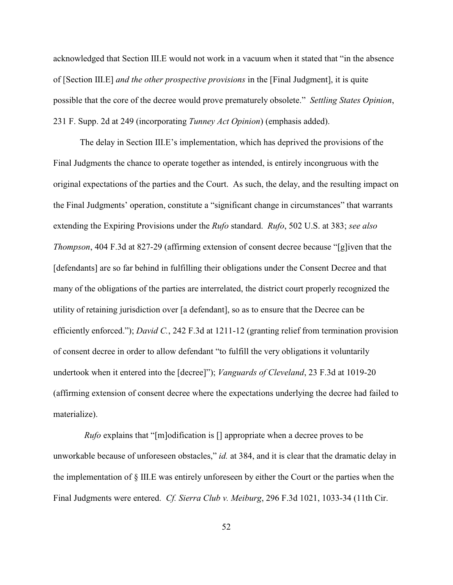acknowledged that Section III.E would not work in a vacuum when it stated that "in the absence of [Section III.E] *and the other prospective provisions* in the [Final Judgment], it is quite possible that the core of the decree would prove prematurely obsolete." *Settling States Opinion*, 231 F. Supp. 2d at 249 (incorporating *Tunney Act Opinion*) (emphasis added).

The delay in Section III.E's implementation, which has deprived the provisions of the Final Judgments the chance to operate together as intended, is entirely incongruous with the original expectations of the parties and the Court. As such, the delay, and the resulting impact on the Final Judgments' operation, constitute a "significant change in circumstances" that warrants extending the Expiring Provisions under the *Rufo* standard. *Rufo*, 502 U.S. at 383; *see also Thompson*, 404 F.3d at 827-29 (affirming extension of consent decree because "[g]iven that the [defendants] are so far behind in fulfilling their obligations under the Consent Decree and that many of the obligations of the parties are interrelated, the district court properly recognized the utility of retaining jurisdiction over [a defendant], so as to ensure that the Decree can be efficiently enforced."); *David C.*, 242 F.3d at 1211-12 (granting relief from termination provision of consent decree in order to allow defendant "to fulfill the very obligations it voluntarily undertook when it entered into the [decree]"); *Vanguards of Cleveland*, 23 F.3d at 1019-20 (affirming extension of consent decree where the expectations underlying the decree had failed to materialize).

 *Rufo* explains that "[m]odification is [] appropriate when a decree proves to be unworkable because of unforeseen obstacles," *id.* at 384, and it is clear that the dramatic delay in the implementation of § III.E was entirely unforeseen by either the Court or the parties when the Final Judgments were entered. *Cf. Sierra Club v. Meiburg*, 296 F.3d 1021, 1033-34 (11th Cir.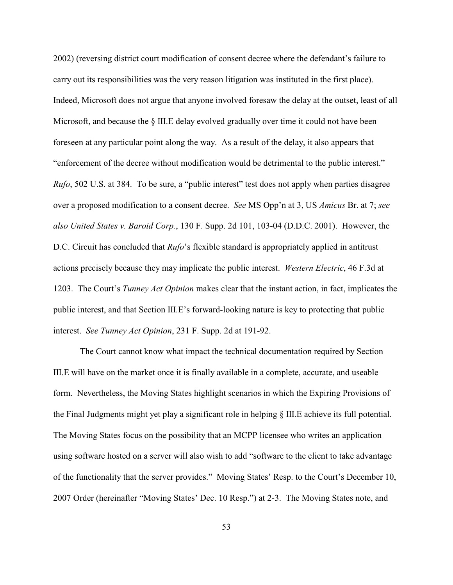2002) (reversing district court modification of consent decree where the defendant's failure to carry out its responsibilities was the very reason litigation was instituted in the first place). Indeed, Microsoft does not argue that anyone involved foresaw the delay at the outset, least of all Microsoft, and because the § III.E delay evolved gradually over time it could not have been foreseen at any particular point along the way. As a result of the delay, it also appears that "enforcement of the decree without modification would be detrimental to the public interest." *Rufo*, 502 U.S. at 384. To be sure, a "public interest" test does not apply when parties disagree over a proposed modification to a consent decree. *See* MS Opp'n at 3, US *Amicus* Br. at 7; *see also United States v. Baroid Corp.*, 130 F. Supp. 2d 101, 103-04 (D.D.C. 2001). However, the D.C. Circuit has concluded that *Rufo*'s flexible standard is appropriately applied in antitrust actions precisely because they may implicate the public interest. *Western Electric*, 46 F.3d at 1203. The Court's *Tunney Act Opinion* makes clear that the instant action, in fact, implicates the public interest, and that Section III.E's forward-looking nature is key to protecting that public interest. *See Tunney Act Opinion*, 231 F. Supp. 2d at 191-92.

The Court cannot know what impact the technical documentation required by Section III.E will have on the market once it is finally available in a complete, accurate, and useable form. Nevertheless, the Moving States highlight scenarios in which the Expiring Provisions of the Final Judgments might yet play a significant role in helping § III.E achieve its full potential. The Moving States focus on the possibility that an MCPP licensee who writes an application using software hosted on a server will also wish to add "software to the client to take advantage of the functionality that the server provides." Moving States' Resp. to the Court's December 10, 2007 Order (hereinafter "Moving States' Dec. 10 Resp.") at 2-3. The Moving States note, and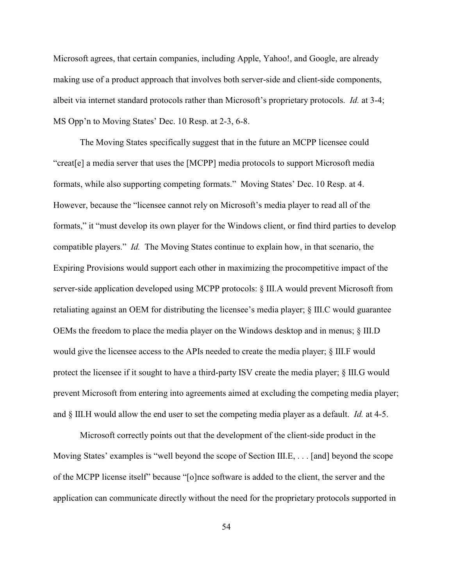Microsoft agrees, that certain companies, including Apple, Yahoo!, and Google, are already making use of a product approach that involves both server-side and client-side components, albeit via internet standard protocols rather than Microsoft's proprietary protocols. *Id.* at 3-4; MS Opp'n to Moving States' Dec. 10 Resp. at 2-3, 6-8.

The Moving States specifically suggest that in the future an MCPP licensee could "creat[e] a media server that uses the [MCPP] media protocols to support Microsoft media formats, while also supporting competing formats." Moving States' Dec. 10 Resp. at 4. However, because the "licensee cannot rely on Microsoft's media player to read all of the formats," it "must develop its own player for the Windows client, or find third parties to develop compatible players." *Id.* The Moving States continue to explain how, in that scenario, the Expiring Provisions would support each other in maximizing the procompetitive impact of the server-side application developed using MCPP protocols: § III.A would prevent Microsoft from retaliating against an OEM for distributing the licensee's media player; § III.C would guarantee OEMs the freedom to place the media player on the Windows desktop and in menus; § III.D would give the licensee access to the APIs needed to create the media player; § III.F would protect the licensee if it sought to have a third-party ISV create the media player; § III.G would prevent Microsoft from entering into agreements aimed at excluding the competing media player; and § III.H would allow the end user to set the competing media player as a default. *Id.* at 4-5.

Microsoft correctly points out that the development of the client-side product in the Moving States' examples is "well beyond the scope of Section III.E, . . . [and] beyond the scope of the MCPP license itself" because "[o]nce software is added to the client, the server and the application can communicate directly without the need for the proprietary protocols supported in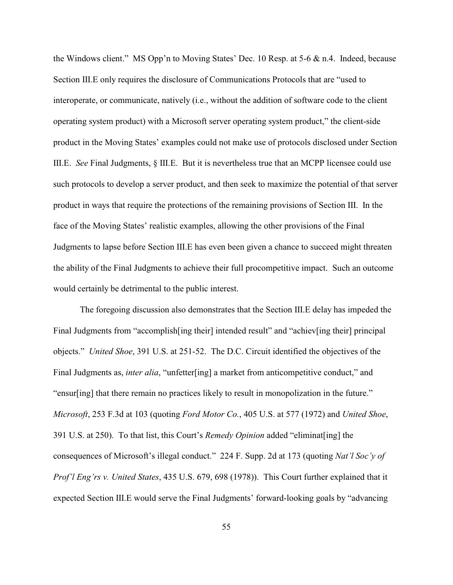the Windows client." MS Opp'n to Moving States' Dec. 10 Resp. at 5-6 & n.4. Indeed, because Section III.E only requires the disclosure of Communications Protocols that are "used to interoperate, or communicate, natively (i.e., without the addition of software code to the client operating system product) with a Microsoft server operating system product," the client-side product in the Moving States' examples could not make use of protocols disclosed under Section III.E. *See* Final Judgments, § III.E. But it is nevertheless true that an MCPP licensee could use such protocols to develop a server product, and then seek to maximize the potential of that server product in ways that require the protections of the remaining provisions of Section III. In the face of the Moving States' realistic examples, allowing the other provisions of the Final Judgments to lapse before Section III.E has even been given a chance to succeed might threaten the ability of the Final Judgments to achieve their full procompetitive impact. Such an outcome would certainly be detrimental to the public interest.

The foregoing discussion also demonstrates that the Section III.E delay has impeded the Final Judgments from "accomplish[ing their] intended result" and "achiev[ing their] principal objects." *United Shoe*, 391 U.S. at 251-52. The D.C. Circuit identified the objectives of the Final Judgments as, *inter alia*, "unfetter[ing] a market from anticompetitive conduct," and "ensur[ing] that there remain no practices likely to result in monopolization in the future." *Microsoft*, 253 F.3d at 103 (quoting *Ford Motor Co.*, 405 U.S. at 577 (1972) and *United Shoe*, 391 U.S. at 250). To that list, this Court's *Remedy Opinion* added "eliminat[ing] the consequences of Microsoft's illegal conduct." 224 F. Supp. 2d at 173 (quoting *Nat'l Soc'y of Prof'l Eng'rs v. United States*, 435 U.S. 679, 698 (1978)). This Court further explained that it expected Section III.E would serve the Final Judgments' forward-looking goals by "advancing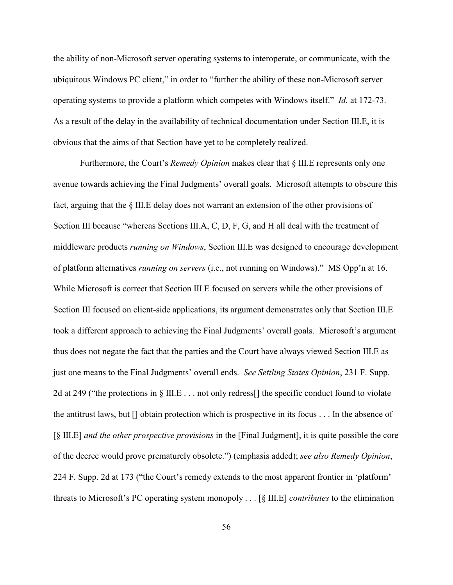the ability of non-Microsoft server operating systems to interoperate, or communicate, with the ubiquitous Windows PC client," in order to "further the ability of these non-Microsoft server operating systems to provide a platform which competes with Windows itself." *Id.* at 172-73. As a result of the delay in the availability of technical documentation under Section III.E, it is obvious that the aims of that Section have yet to be completely realized.

Furthermore, the Court's *Remedy Opinion* makes clear that § III.E represents only one avenue towards achieving the Final Judgments' overall goals. Microsoft attempts to obscure this fact, arguing that the § III.E delay does not warrant an extension of the other provisions of Section III because "whereas Sections III.A, C, D, F, G, and H all deal with the treatment of middleware products *running on Windows*, Section III.E was designed to encourage development of platform alternatives *running on servers* (i.e., not running on Windows)." MS Opp'n at 16. While Microsoft is correct that Section III.E focused on servers while the other provisions of Section III focused on client-side applications, its argument demonstrates only that Section III.E took a different approach to achieving the Final Judgments' overall goals. Microsoft's argument thus does not negate the fact that the parties and the Court have always viewed Section III.E as just one means to the Final Judgments' overall ends. *See Settling States Opinion*, 231 F. Supp. 2d at 249 ("the protections in § III.E . . . not only redress[] the specific conduct found to violate the antitrust laws, but [] obtain protection which is prospective in its focus . . . In the absence of [§ III.E] *and the other prospective provisions* in the [Final Judgment], it is quite possible the core of the decree would prove prematurely obsolete.") (emphasis added); *see also Remedy Opinion*, 224 F. Supp. 2d at 173 ("the Court's remedy extends to the most apparent frontier in 'platform' threats to Microsoft's PC operating system monopoly . . . [§ III.E] *contributes* to the elimination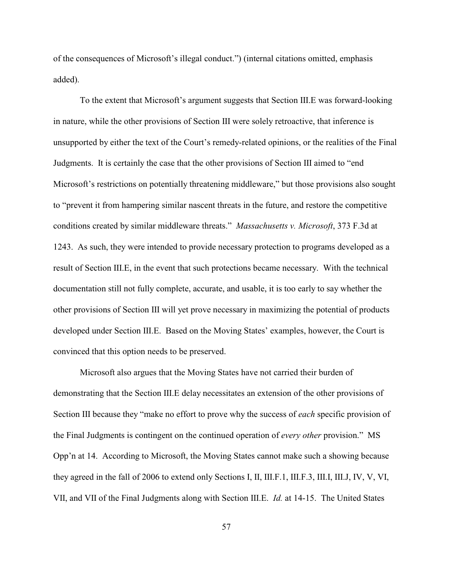of the consequences of Microsoft's illegal conduct.") (internal citations omitted, emphasis added).

To the extent that Microsoft's argument suggests that Section III.E was forward-looking in nature, while the other provisions of Section III were solely retroactive, that inference is unsupported by either the text of the Court's remedy-related opinions, or the realities of the Final Judgments. It is certainly the case that the other provisions of Section III aimed to "end Microsoft's restrictions on potentially threatening middleware," but those provisions also sought to "prevent it from hampering similar nascent threats in the future, and restore the competitive conditions created by similar middleware threats." *Massachusetts v. Microsoft*, 373 F.3d at 1243. As such, they were intended to provide necessary protection to programs developed as a result of Section III.E, in the event that such protections became necessary. With the technical documentation still not fully complete, accurate, and usable, it is too early to say whether the other provisions of Section III will yet prove necessary in maximizing the potential of products developed under Section III.E. Based on the Moving States' examples, however, the Court is convinced that this option needs to be preserved.

Microsoft also argues that the Moving States have not carried their burden of demonstrating that the Section III.E delay necessitates an extension of the other provisions of Section III because they "make no effort to prove why the success of *each* specific provision of the Final Judgments is contingent on the continued operation of *every other* provision." MS Opp'n at 14. According to Microsoft, the Moving States cannot make such a showing because they agreed in the fall of 2006 to extend only Sections I, II, III.F.1, III.F.3, III.I, III.J, IV, V, VI, VII, and VII of the Final Judgments along with Section III.E. *Id.* at 14-15. The United States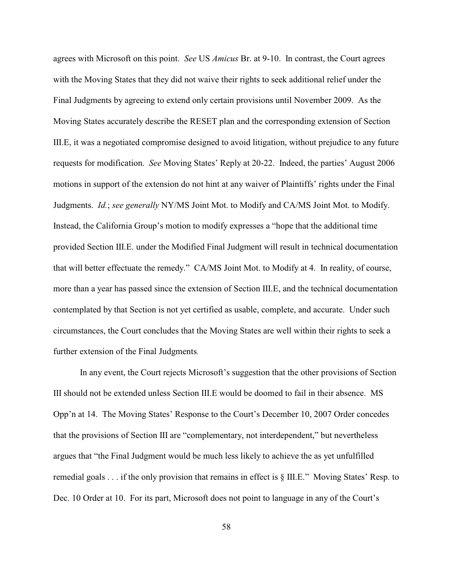agrees with Microsoft on this point. *See* US *Amicus* Br. at 9-10. In contrast, the Court agrees with the Moving States that they did not waive their rights to seek additional relief under the Final Judgments by agreeing to extend only certain provisions until November 2009. As the Moving States accurately describe the RESET plan and the corresponding extension of Section III.E, it was a negotiated compromise designed to avoid litigation, without prejudice to any future requests for modification. *See* Moving States' Reply at 20-22. Indeed, the parties' August 2006 motions in support of the extension do not hint at any waiver of Plaintiffs' rights under the Final Judgments. *Id.*; *see generally* NY/MS Joint Mot. to Modify and CA/MS Joint Mot. to Modify. Instead, the California Group's motion to modify expresses a "hope that the additional time provided Section III.E. under the Modified Final Judgment will result in technical documentation that will better effectuate the remedy." CA/MS Joint Mot. to Modify at 4. In reality, of course, more than a year has passed since the extension of Section III.E, and the technical documentation contemplated by that Section is not yet certified as usable, complete, and accurate. Under such circumstances, the Court concludes that the Moving States are well within their rights to seek a further extension of the Final Judgments.

In any event, the Court rejects Microsoft's suggestion that the other provisions of Section III should not be extended unless Section III.E would be doomed to fail in their absence. MS Opp'n at 14. The Moving States' Response to the Court's December 10, 2007 Order concedes that the provisions of Section III are "complementary, not interdependent," but nevertheless argues that "the Final Judgment would be much less likely to achieve the as yet unfulfilled remedial goals . . . if the only provision that remains in effect is § III.E." Moving States' Resp. to Dec. 10 Order at 10. For its part, Microsoft does not point to language in any of the Court's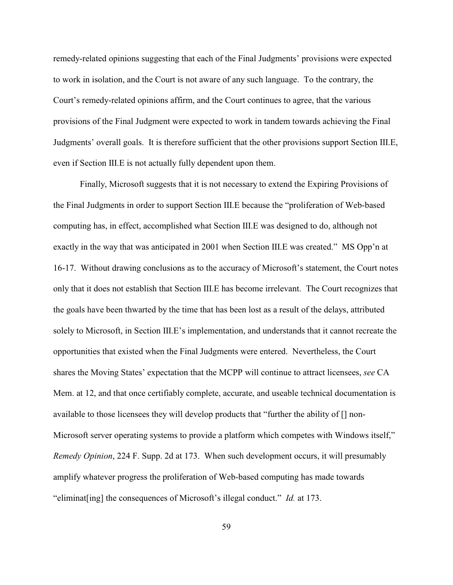remedy-related opinions suggesting that each of the Final Judgments' provisions were expected to work in isolation, and the Court is not aware of any such language. To the contrary, the Court's remedy-related opinions affirm, and the Court continues to agree, that the various provisions of the Final Judgment were expected to work in tandem towards achieving the Final Judgments' overall goals. It is therefore sufficient that the other provisions support Section III.E, even if Section III.E is not actually fully dependent upon them.

Finally, Microsoft suggests that it is not necessary to extend the Expiring Provisions of the Final Judgments in order to support Section III.E because the "proliferation of Web-based computing has, in effect, accomplished what Section III.E was designed to do, although not exactly in the way that was anticipated in 2001 when Section III.E was created." MS Opp'n at 16-17. Without drawing conclusions as to the accuracy of Microsoft's statement, the Court notes only that it does not establish that Section III.E has become irrelevant. The Court recognizes that the goals have been thwarted by the time that has been lost as a result of the delays, attributed solely to Microsoft, in Section III.E's implementation, and understands that it cannot recreate the opportunities that existed when the Final Judgments were entered. Nevertheless, the Court shares the Moving States' expectation that the MCPP will continue to attract licensees, *see* CA Mem. at 12, and that once certifiably complete, accurate, and useable technical documentation is available to those licensees they will develop products that "further the ability of [] non-Microsoft server operating systems to provide a platform which competes with Windows itself," *Remedy Opinion*, 224 F. Supp. 2d at 173. When such development occurs, it will presumably amplify whatever progress the proliferation of Web-based computing has made towards "eliminat[ing] the consequences of Microsoft's illegal conduct." *Id.* at 173.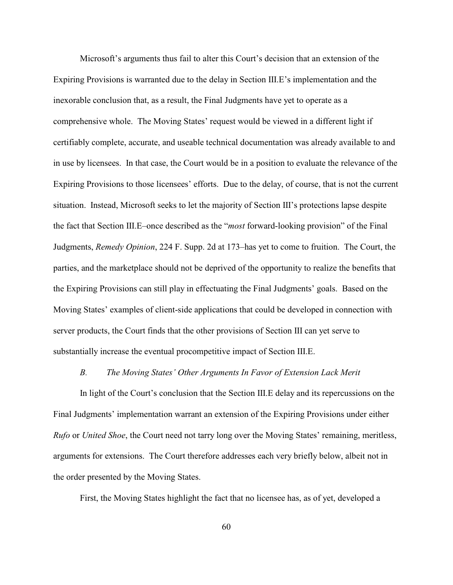Microsoft's arguments thus fail to alter this Court's decision that an extension of the Expiring Provisions is warranted due to the delay in Section III.E's implementation and the inexorable conclusion that, as a result, the Final Judgments have yet to operate as a comprehensive whole. The Moving States' request would be viewed in a different light if certifiably complete, accurate, and useable technical documentation was already available to and in use by licensees. In that case, the Court would be in a position to evaluate the relevance of the Expiring Provisions to those licensees' efforts. Due to the delay, of course, that is not the current situation. Instead, Microsoft seeks to let the majority of Section III's protections lapse despite the fact that Section III.E–once described as the "*most* forward-looking provision" of the Final Judgments, *Remedy Opinion*, 224 F. Supp. 2d at 173–has yet to come to fruition. The Court, the parties, and the marketplace should not be deprived of the opportunity to realize the benefits that the Expiring Provisions can still play in effectuating the Final Judgments' goals. Based on the Moving States' examples of client-side applications that could be developed in connection with server products, the Court finds that the other provisions of Section III can yet serve to substantially increase the eventual procompetitive impact of Section III.E.

#### *B. The Moving States' Other Arguments In Favor of Extension Lack Merit*

In light of the Court's conclusion that the Section III.E delay and its repercussions on the Final Judgments' implementation warrant an extension of the Expiring Provisions under either *Rufo* or *United Shoe*, the Court need not tarry long over the Moving States' remaining, meritless, arguments for extensions. The Court therefore addresses each very briefly below, albeit not in the order presented by the Moving States.

First, the Moving States highlight the fact that no licensee has, as of yet, developed a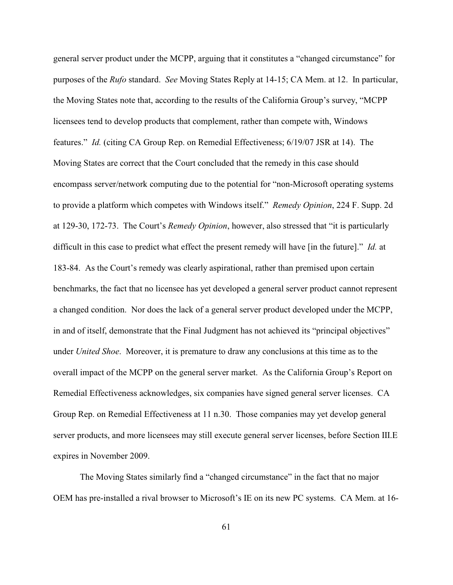general server product under the MCPP, arguing that it constitutes a "changed circumstance" for purposes of the *Rufo* standard. *See* Moving States Reply at 14-15; CA Mem. at 12. In particular, the Moving States note that, according to the results of the California Group's survey, "MCPP licensees tend to develop products that complement, rather than compete with, Windows features." *Id.* (citing CA Group Rep. on Remedial Effectiveness; 6/19/07 JSR at 14). The Moving States are correct that the Court concluded that the remedy in this case should encompass server/network computing due to the potential for "non-Microsoft operating systems to provide a platform which competes with Windows itself." *Remedy Opinion*, 224 F. Supp. 2d at 129-30, 172-73. The Court's *Remedy Opinion*, however, also stressed that "it is particularly difficult in this case to predict what effect the present remedy will have [in the future]." *Id.* at 183-84. As the Court's remedy was clearly aspirational, rather than premised upon certain benchmarks, the fact that no licensee has yet developed a general server product cannot represent a changed condition. Nor does the lack of a general server product developed under the MCPP, in and of itself, demonstrate that the Final Judgment has not achieved its "principal objectives" under *United Shoe*. Moreover, it is premature to draw any conclusions at this time as to the overall impact of the MCPP on the general server market. As the California Group's Report on Remedial Effectiveness acknowledges, six companies have signed general server licenses. CA Group Rep. on Remedial Effectiveness at 11 n.30. Those companies may yet develop general server products, and more licensees may still execute general server licenses, before Section III.E expires in November 2009.

The Moving States similarly find a "changed circumstance" in the fact that no major OEM has pre-installed a rival browser to Microsoft's IE on its new PC systems. CA Mem. at 16-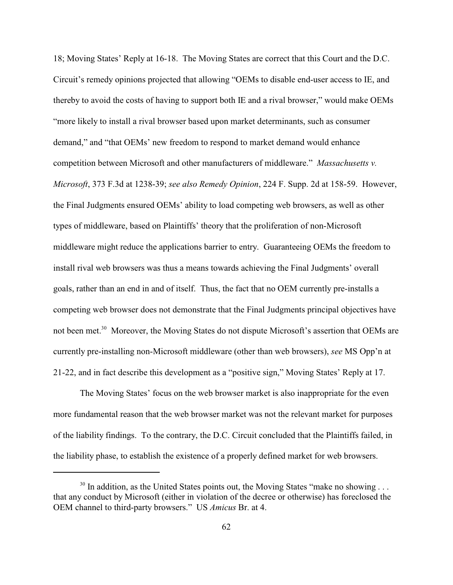18; Moving States' Reply at 16-18. The Moving States are correct that this Court and the D.C. Circuit's remedy opinions projected that allowing "OEMs to disable end-user access to IE, and thereby to avoid the costs of having to support both IE and a rival browser," would make OEMs "more likely to install a rival browser based upon market determinants, such as consumer demand," and "that OEMs' new freedom to respond to market demand would enhance competition between Microsoft and other manufacturers of middleware." *Massachusetts v. Microsoft*, 373 F.3d at 1238-39; *see also Remedy Opinion*, 224 F. Supp. 2d at 158-59. However, the Final Judgments ensured OEMs' ability to load competing web browsers, as well as other types of middleware, based on Plaintiffs' theory that the proliferation of non-Microsoft middleware might reduce the applications barrier to entry. Guaranteeing OEMs the freedom to install rival web browsers was thus a means towards achieving the Final Judgments' overall goals, rather than an end in and of itself. Thus, the fact that no OEM currently pre-installs a competing web browser does not demonstrate that the Final Judgments principal objectives have not been met.<sup>30</sup> Moreover, the Moving States do not dispute Microsoft's assertion that OEMs are currently pre-installing non-Microsoft middleware (other than web browsers), *see* MS Opp'n at 21-22, and in fact describe this development as a "positive sign," Moving States' Reply at 17.

The Moving States' focus on the web browser market is also inappropriate for the even more fundamental reason that the web browser market was not the relevant market for purposes of the liability findings. To the contrary, the D.C. Circuit concluded that the Plaintiffs failed, in the liability phase, to establish the existence of a properly defined market for web browsers.

 $30$  In addition, as the United States points out, the Moving States "make no showing ... that any conduct by Microsoft (either in violation of the decree or otherwise) has foreclosed the OEM channel to third-party browsers." US *Amicus* Br. at 4.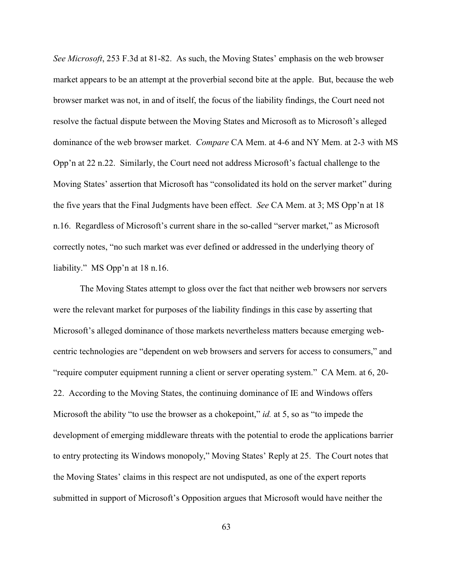*See Microsoft*, 253 F.3d at 81-82. As such, the Moving States' emphasis on the web browser market appears to be an attempt at the proverbial second bite at the apple. But, because the web browser market was not, in and of itself, the focus of the liability findings, the Court need not resolve the factual dispute between the Moving States and Microsoft as to Microsoft's alleged dominance of the web browser market. *Compare* CA Mem. at 4-6 and NY Mem. at 2-3 with MS Opp'n at 22 n.22. Similarly, the Court need not address Microsoft's factual challenge to the Moving States' assertion that Microsoft has "consolidated its hold on the server market" during the five years that the Final Judgments have been effect. *See* CA Mem. at 3; MS Opp'n at 18 n.16. Regardless of Microsoft's current share in the so-called "server market," as Microsoft correctly notes, "no such market was ever defined or addressed in the underlying theory of liability." MS Opp'n at 18 n.16.

The Moving States attempt to gloss over the fact that neither web browsers nor servers were the relevant market for purposes of the liability findings in this case by asserting that Microsoft's alleged dominance of those markets nevertheless matters because emerging webcentric technologies are "dependent on web browsers and servers for access to consumers," and "require computer equipment running a client or server operating system." CA Mem. at 6, 20- 22. According to the Moving States, the continuing dominance of IE and Windows offers Microsoft the ability "to use the browser as a chokepoint," *id.* at 5, so as "to impede the development of emerging middleware threats with the potential to erode the applications barrier to entry protecting its Windows monopoly," Moving States' Reply at 25. The Court notes that the Moving States' claims in this respect are not undisputed, as one of the expert reports submitted in support of Microsoft's Opposition argues that Microsoft would have neither the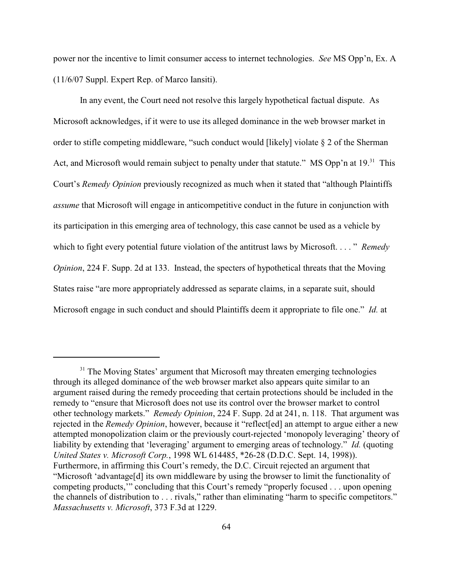power nor the incentive to limit consumer access to internet technologies. *See* MS Opp'n, Ex. A (11/6/07 Suppl. Expert Rep. of Marco Iansiti).

In any event, the Court need not resolve this largely hypothetical factual dispute. As Microsoft acknowledges, if it were to use its alleged dominance in the web browser market in order to stifle competing middleware, "such conduct would [likely] violate § 2 of the Sherman Act, and Microsoft would remain subject to penalty under that statute." MS Opp'n at 19.<sup>31</sup> This Court's *Remedy Opinion* previously recognized as much when it stated that "although Plaintiffs *assume* that Microsoft will engage in anticompetitive conduct in the future in conjunction with its participation in this emerging area of technology, this case cannot be used as a vehicle by which to fight every potential future violation of the antitrust laws by Microsoft. . . . " *Remedy Opinion*, 224 F. Supp. 2d at 133. Instead, the specters of hypothetical threats that the Moving States raise "are more appropriately addressed as separate claims, in a separate suit, should Microsoft engage in such conduct and should Plaintiffs deem it appropriate to file one." *Id.* at

 $31$  The Moving States' argument that Microsoft may threaten emerging technologies through its alleged dominance of the web browser market also appears quite similar to an argument raised during the remedy proceeding that certain protections should be included in the remedy to "ensure that Microsoft does not use its control over the browser market to control other technology markets." *Remedy Opinion*, 224 F. Supp. 2d at 241, n. 118. That argument was rejected in the *Remedy Opinion*, however, because it "reflect[ed] an attempt to argue either a new attempted monopolization claim or the previously court-rejected 'monopoly leveraging' theory of liability by extending that 'leveraging' argument to emerging areas of technology." *Id.* (quoting *United States v. Microsoft Corp.*, 1998 WL 614485, \*26-28 (D.D.C. Sept. 14, 1998)). Furthermore, in affirming this Court's remedy, the D.C. Circuit rejected an argument that "Microsoft 'advantage[d] its own middleware by using the browser to limit the functionality of competing products,'" concluding that this Court's remedy "properly focused . . . upon opening the channels of distribution to . . . rivals," rather than eliminating "harm to specific competitors." *Massachusetts v. Microsoft*, 373 F.3d at 1229.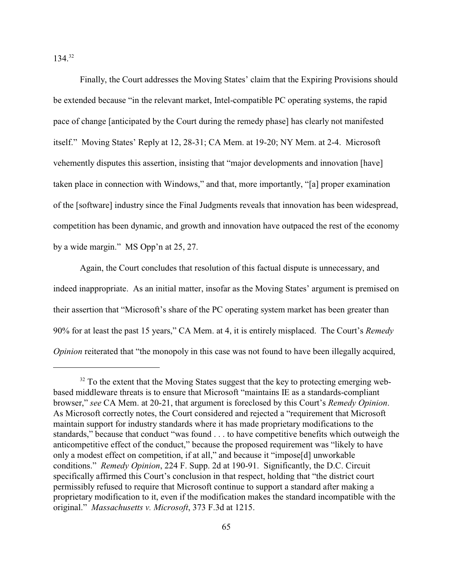$134.<sup>32</sup>$ 

Finally, the Court addresses the Moving States' claim that the Expiring Provisions should be extended because "in the relevant market, Intel-compatible PC operating systems, the rapid pace of change [anticipated by the Court during the remedy phase] has clearly not manifested itself." Moving States' Reply at 12, 28-31; CA Mem. at 19-20; NY Mem. at 2-4. Microsoft vehemently disputes this assertion, insisting that "major developments and innovation [have] taken place in connection with Windows," and that, more importantly, "[a] proper examination of the [software] industry since the Final Judgments reveals that innovation has been widespread, competition has been dynamic, and growth and innovation have outpaced the rest of the economy by a wide margin." MS Opp'n at 25, 27.

Again, the Court concludes that resolution of this factual dispute is unnecessary, and indeed inappropriate. As an initial matter, insofar as the Moving States' argument is premised on their assertion that "Microsoft's share of the PC operating system market has been greater than 90% for at least the past 15 years," CA Mem. at 4, it is entirely misplaced. The Court's *Remedy Opinion* reiterated that "the monopoly in this case was not found to have been illegally acquired,

 $32$  To the extent that the Moving States suggest that the key to protecting emerging webbased middleware threats is to ensure that Microsoft "maintains IE as a standards-compliant browser," *see* CA Mem. at 20-21, that argument is foreclosed by this Court's *Remedy Opinion*. As Microsoft correctly notes, the Court considered and rejected a "requirement that Microsoft maintain support for industry standards where it has made proprietary modifications to the standards," because that conduct "was found . . . to have competitive benefits which outweigh the anticompetitive effect of the conduct," because the proposed requirement was "likely to have only a modest effect on competition, if at all," and because it "impose[d] unworkable conditions." *Remedy Opinion*, 224 F. Supp. 2d at 190-91. Significantly, the D.C. Circuit specifically affirmed this Court's conclusion in that respect, holding that "the district court permissibly refused to require that Microsoft continue to support a standard after making a proprietary modification to it, even if the modification makes the standard incompatible with the original." *Massachusetts v. Microsoft*, 373 F.3d at 1215.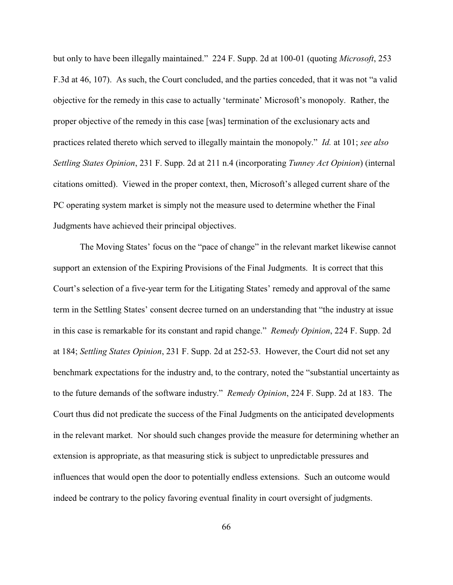but only to have been illegally maintained." 224 F. Supp. 2d at 100-01 (quoting *Microsoft*, 253 F.3d at 46, 107). As such, the Court concluded, and the parties conceded, that it was not "a valid objective for the remedy in this case to actually 'terminate' Microsoft's monopoly. Rather, the proper objective of the remedy in this case [was] termination of the exclusionary acts and practices related thereto which served to illegally maintain the monopoly." *Id.* at 101; *see also Settling States Opinion*, 231 F. Supp. 2d at 211 n.4 (incorporating *Tunney Act Opinion*) (internal citations omitted). Viewed in the proper context, then, Microsoft's alleged current share of the PC operating system market is simply not the measure used to determine whether the Final Judgments have achieved their principal objectives.

The Moving States' focus on the "pace of change" in the relevant market likewise cannot support an extension of the Expiring Provisions of the Final Judgments. It is correct that this Court's selection of a five-year term for the Litigating States' remedy and approval of the same term in the Settling States' consent decree turned on an understanding that "the industry at issue in this case is remarkable for its constant and rapid change." *Remedy Opinion*, 224 F. Supp. 2d at 184; *Settling States Opinion*, 231 F. Supp. 2d at 252-53. However, the Court did not set any benchmark expectations for the industry and, to the contrary, noted the "substantial uncertainty as to the future demands of the software industry." *Remedy Opinion*, 224 F. Supp. 2d at 183. The Court thus did not predicate the success of the Final Judgments on the anticipated developments in the relevant market. Nor should such changes provide the measure for determining whether an extension is appropriate, as that measuring stick is subject to unpredictable pressures and influences that would open the door to potentially endless extensions. Such an outcome would indeed be contrary to the policy favoring eventual finality in court oversight of judgments.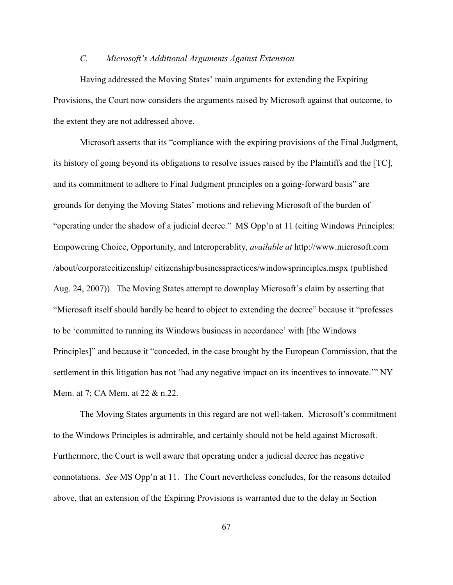## *C. Microsoft's Additional Arguments Against Extension*

Having addressed the Moving States' main arguments for extending the Expiring Provisions, the Court now considers the arguments raised by Microsoft against that outcome, to the extent they are not addressed above.

Microsoft asserts that its "compliance with the expiring provisions of the Final Judgment, its history of going beyond its obligations to resolve issues raised by the Plaintiffs and the [TC], and its commitment to adhere to Final Judgment principles on a going-forward basis" are grounds for denying the Moving States' motions and relieving Microsoft of the burden of "operating under the shadow of a judicial decree." MS Opp'n at 11 (citing Windows Principles: Empowering Choice, Opportunity, and Interoperablity, *available at* http://www.microsoft.com /about/corporatecitizenship/ citizenship/businesspractices/windowsprinciples.mspx (published Aug. 24, 2007)). The Moving States attempt to downplay Microsoft's claim by asserting that "Microsoft itself should hardly be heard to object to extending the decree" because it "professes to be 'committed to running its Windows business in accordance' with [the Windows Principles]" and because it "conceded, in the case brought by the European Commission, that the settlement in this litigation has not 'had any negative impact on its incentives to innovate.'" NY Mem. at 7; CA Mem. at 22 & n.22.

The Moving States arguments in this regard are not well-taken. Microsoft's commitment to the Windows Principles is admirable, and certainly should not be held against Microsoft. Furthermore, the Court is well aware that operating under a judicial decree has negative connotations. *See* MS Opp'n at 11. The Court nevertheless concludes, for the reasons detailed above, that an extension of the Expiring Provisions is warranted due to the delay in Section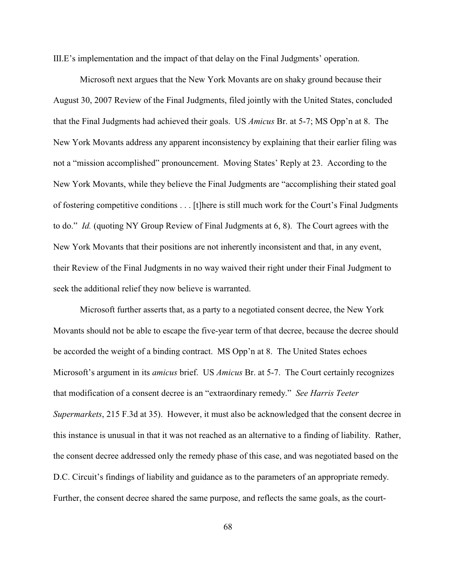III.E's implementation and the impact of that delay on the Final Judgments' operation.

Microsoft next argues that the New York Movants are on shaky ground because their August 30, 2007 Review of the Final Judgments, filed jointly with the United States, concluded that the Final Judgments had achieved their goals. US *Amicus* Br. at 5-7; MS Opp'n at 8. The New York Movants address any apparent inconsistency by explaining that their earlier filing was not a "mission accomplished" pronouncement. Moving States' Reply at 23. According to the New York Movants, while they believe the Final Judgments are "accomplishing their stated goal of fostering competitive conditions . . . [t]here is still much work for the Court's Final Judgments to do." *Id.* (quoting NY Group Review of Final Judgments at 6, 8). The Court agrees with the New York Movants that their positions are not inherently inconsistent and that, in any event, their Review of the Final Judgments in no way waived their right under their Final Judgment to seek the additional relief they now believe is warranted.

Microsoft further asserts that, as a party to a negotiated consent decree, the New York Movants should not be able to escape the five-year term of that decree, because the decree should be accorded the weight of a binding contract. MS Opp'n at 8. The United States echoes Microsoft's argument in its *amicus* brief. US *Amicus* Br. at 5-7. The Court certainly recognizes that modification of a consent decree is an "extraordinary remedy." *See Harris Teeter Supermarkets*, 215 F.3d at 35). However, it must also be acknowledged that the consent decree in this instance is unusual in that it was not reached as an alternative to a finding of liability. Rather, the consent decree addressed only the remedy phase of this case, and was negotiated based on the D.C. Circuit's findings of liability and guidance as to the parameters of an appropriate remedy. Further, the consent decree shared the same purpose, and reflects the same goals, as the court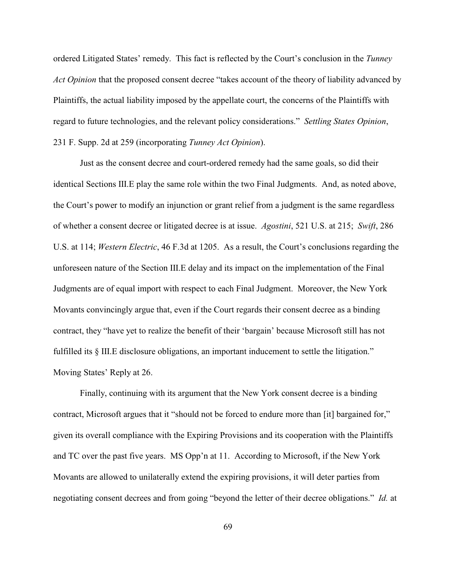ordered Litigated States' remedy. This fact is reflected by the Court's conclusion in the *Tunney Act Opinion* that the proposed consent decree "takes account of the theory of liability advanced by Plaintiffs, the actual liability imposed by the appellate court, the concerns of the Plaintiffs with regard to future technologies, and the relevant policy considerations." *Settling States Opinion*, 231 F. Supp. 2d at 259 (incorporating *Tunney Act Opinion*).

Just as the consent decree and court-ordered remedy had the same goals, so did their identical Sections III.E play the same role within the two Final Judgments. And, as noted above, the Court's power to modify an injunction or grant relief from a judgment is the same regardless of whether a consent decree or litigated decree is at issue. *Agostini*, 521 U.S. at 215; *Swift*, 286 U.S. at 114; *Western Electric*, 46 F.3d at 1205. As a result, the Court's conclusions regarding the unforeseen nature of the Section III.E delay and its impact on the implementation of the Final Judgments are of equal import with respect to each Final Judgment. Moreover, the New York Movants convincingly argue that, even if the Court regards their consent decree as a binding contract, they "have yet to realize the benefit of their 'bargain' because Microsoft still has not fulfilled its § III.E disclosure obligations, an important inducement to settle the litigation." Moving States' Reply at 26.

Finally, continuing with its argument that the New York consent decree is a binding contract, Microsoft argues that it "should not be forced to endure more than [it] bargained for," given its overall compliance with the Expiring Provisions and its cooperation with the Plaintiffs and TC over the past five years. MS Opp'n at 11. According to Microsoft, if the New York Movants are allowed to unilaterally extend the expiring provisions, it will deter parties from negotiating consent decrees and from going "beyond the letter of their decree obligations." *Id.* at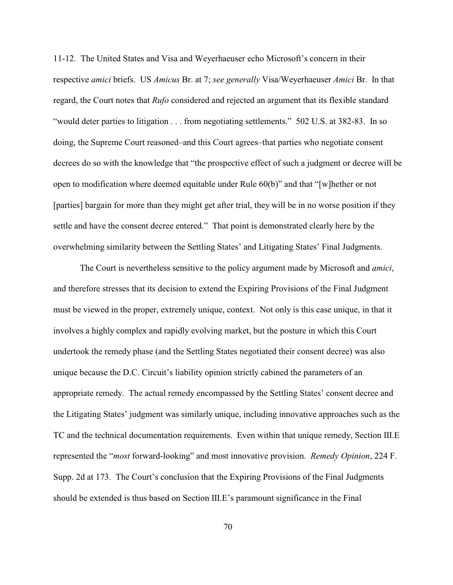11-12. The United States and Visa and Weyerhaeuser echo Microsoft's concern in their respective *amici* briefs. US *Amicus* Br. at 7; *see generally* Visa/Weyerhaeuser *Amici* Br. In that regard, the Court notes that *Rufo* considered and rejected an argument that its flexible standard "would deter parties to litigation . . . from negotiating settlements." 502 U.S. at 382-83. In so doing, the Supreme Court reasoned–and this Court agrees–that parties who negotiate consent decrees do so with the knowledge that "the prospective effect of such a judgment or decree will be open to modification where deemed equitable under Rule 60(b)" and that "[w]hether or not [parties] bargain for more than they might get after trial, they will be in no worse position if they settle and have the consent decree entered." That point is demonstrated clearly here by the overwhelming similarity between the Settling States' and Litigating States' Final Judgments.

The Court is nevertheless sensitive to the policy argument made by Microsoft and *amici*, and therefore stresses that its decision to extend the Expiring Provisions of the Final Judgment must be viewed in the proper, extremely unique, context. Not only is this case unique, in that it involves a highly complex and rapidly evolving market, but the posture in which this Court undertook the remedy phase (and the Settling States negotiated their consent decree) was also unique because the D.C. Circuit's liability opinion strictly cabined the parameters of an appropriate remedy. The actual remedy encompassed by the Settling States' consent decree and the Litigating States' judgment was similarly unique, including innovative approaches such as the TC and the technical documentation requirements. Even within that unique remedy, Section III.E represented the "*most* forward-looking" and most innovative provision. *Remedy Opinion*, 224 F. Supp. 2d at 173. The Court's conclusion that the Expiring Provisions of the Final Judgments should be extended is thus based on Section III.E's paramount significance in the Final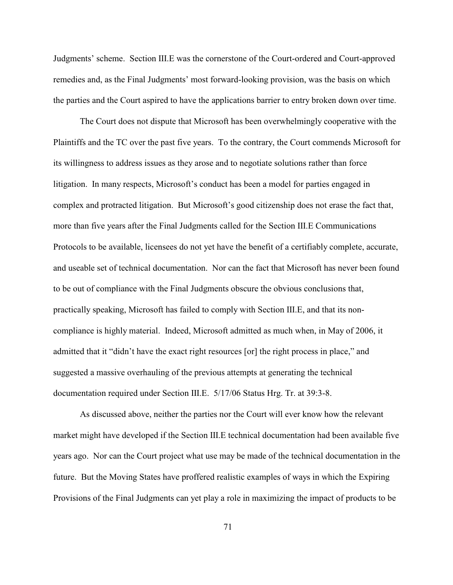Judgments' scheme. Section III.E was the cornerstone of the Court-ordered and Court-approved remedies and, as the Final Judgments' most forward-looking provision, was the basis on which the parties and the Court aspired to have the applications barrier to entry broken down over time.

The Court does not dispute that Microsoft has been overwhelmingly cooperative with the Plaintiffs and the TC over the past five years. To the contrary, the Court commends Microsoft for its willingness to address issues as they arose and to negotiate solutions rather than force litigation. In many respects, Microsoft's conduct has been a model for parties engaged in complex and protracted litigation. But Microsoft's good citizenship does not erase the fact that, more than five years after the Final Judgments called for the Section III.E Communications Protocols to be available, licensees do not yet have the benefit of a certifiably complete, accurate, and useable set of technical documentation. Nor can the fact that Microsoft has never been found to be out of compliance with the Final Judgments obscure the obvious conclusions that, practically speaking, Microsoft has failed to comply with Section III.E, and that its noncompliance is highly material. Indeed, Microsoft admitted as much when, in May of 2006, it admitted that it "didn't have the exact right resources [or] the right process in place," and suggested a massive overhauling of the previous attempts at generating the technical documentation required under Section III.E. 5/17/06 Status Hrg. Tr. at 39:3-8.

As discussed above, neither the parties nor the Court will ever know how the relevant market might have developed if the Section III.E technical documentation had been available five years ago. Nor can the Court project what use may be made of the technical documentation in the future. But the Moving States have proffered realistic examples of ways in which the Expiring Provisions of the Final Judgments can yet play a role in maximizing the impact of products to be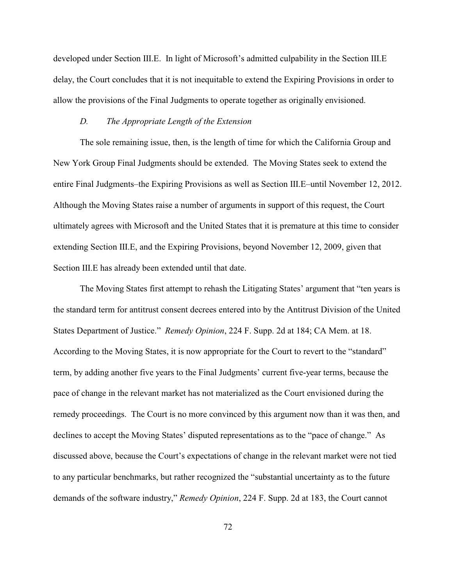developed under Section III.E. In light of Microsoft's admitted culpability in the Section III.E delay, the Court concludes that it is not inequitable to extend the Expiring Provisions in order to allow the provisions of the Final Judgments to operate together as originally envisioned.

## *D. The Appropriate Length of the Extension*

The sole remaining issue, then, is the length of time for which the California Group and New York Group Final Judgments should be extended. The Moving States seek to extend the entire Final Judgments–the Expiring Provisions as well as Section III.E–until November 12, 2012. Although the Moving States raise a number of arguments in support of this request, the Court ultimately agrees with Microsoft and the United States that it is premature at this time to consider extending Section III.E, and the Expiring Provisions, beyond November 12, 2009, given that Section III.E has already been extended until that date.

The Moving States first attempt to rehash the Litigating States' argument that "ten years is the standard term for antitrust consent decrees entered into by the Antitrust Division of the United States Department of Justice." *Remedy Opinion*, 224 F. Supp. 2d at 184; CA Mem. at 18. According to the Moving States, it is now appropriate for the Court to revert to the "standard" term, by adding another five years to the Final Judgments' current five-year terms, because the pace of change in the relevant market has not materialized as the Court envisioned during the remedy proceedings. The Court is no more convinced by this argument now than it was then, and declines to accept the Moving States' disputed representations as to the "pace of change." As discussed above, because the Court's expectations of change in the relevant market were not tied to any particular benchmarks, but rather recognized the "substantial uncertainty as to the future demands of the software industry," *Remedy Opinion*, 224 F. Supp. 2d at 183, the Court cannot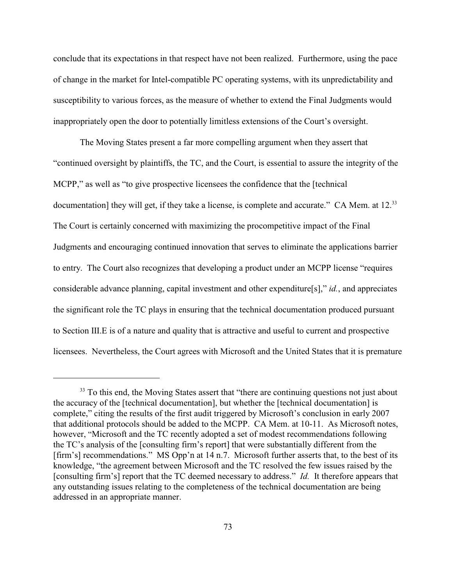conclude that its expectations in that respect have not been realized. Furthermore, using the pace of change in the market for Intel-compatible PC operating systems, with its unpredictability and susceptibility to various forces, as the measure of whether to extend the Final Judgments would inappropriately open the door to potentially limitless extensions of the Court's oversight.

The Moving States present a far more compelling argument when they assert that "continued oversight by plaintiffs, the TC, and the Court, is essential to assure the integrity of the MCPP," as well as "to give prospective licensees the confidence that the [technical documentation] they will get, if they take a license, is complete and accurate." CA Mem. at 12.<sup>33</sup> The Court is certainly concerned with maximizing the procompetitive impact of the Final Judgments and encouraging continued innovation that serves to eliminate the applications barrier to entry. The Court also recognizes that developing a product under an MCPP license "requires considerable advance planning, capital investment and other expenditure[s]," *id.*, and appreciates the significant role the TC plays in ensuring that the technical documentation produced pursuant to Section III.E is of a nature and quality that is attractive and useful to current and prospective licensees. Nevertheless, the Court agrees with Microsoft and the United States that it is premature

 $33$  To this end, the Moving States assert that "there are continuing questions not just about the accuracy of the [technical documentation], but whether the [technical documentation] is complete," citing the results of the first audit triggered by Microsoft's conclusion in early 2007 that additional protocols should be added to the MCPP. CA Mem. at 10-11. As Microsoft notes, however, "Microsoft and the TC recently adopted a set of modest recommendations following the TC's analysis of the [consulting firm's report] that were substantially different from the [firm's] recommendations." MS Opp'n at 14 n.7. Microsoft further asserts that, to the best of its knowledge, "the agreement between Microsoft and the TC resolved the few issues raised by the [consulting firm's] report that the TC deemed necessary to address." *Id.* It therefore appears that any outstanding issues relating to the completeness of the technical documentation are being addressed in an appropriate manner.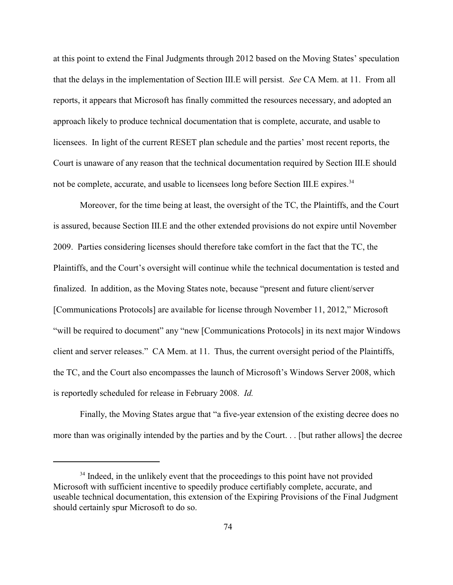at this point to extend the Final Judgments through 2012 based on the Moving States' speculation that the delays in the implementation of Section III.E will persist. *See* CA Mem. at 11. From all reports, it appears that Microsoft has finally committed the resources necessary, and adopted an approach likely to produce technical documentation that is complete, accurate, and usable to licensees. In light of the current RESET plan schedule and the parties' most recent reports, the Court is unaware of any reason that the technical documentation required by Section III.E should not be complete, accurate, and usable to licensees long before Section III.E expires.<sup>34</sup>

Moreover, for the time being at least, the oversight of the TC, the Plaintiffs, and the Court is assured, because Section III.E and the other extended provisions do not expire until November 2009. Parties considering licenses should therefore take comfort in the fact that the TC, the Plaintiffs, and the Court's oversight will continue while the technical documentation is tested and finalized. In addition, as the Moving States note, because "present and future client/server [Communications Protocols] are available for license through November 11, 2012," Microsoft "will be required to document" any "new [Communications Protocols] in its next major Windows client and server releases." CA Mem. at 11. Thus, the current oversight period of the Plaintiffs, the TC, and the Court also encompasses the launch of Microsoft's Windows Server 2008, which is reportedly scheduled for release in February 2008. *Id.*

Finally, the Moving States argue that "a five-year extension of the existing decree does no more than was originally intended by the parties and by the Court. . . [but rather allows] the decree

 $34$  Indeed, in the unlikely event that the proceedings to this point have not provided Microsoft with sufficient incentive to speedily produce certifiably complete, accurate, and useable technical documentation, this extension of the Expiring Provisions of the Final Judgment should certainly spur Microsoft to do so.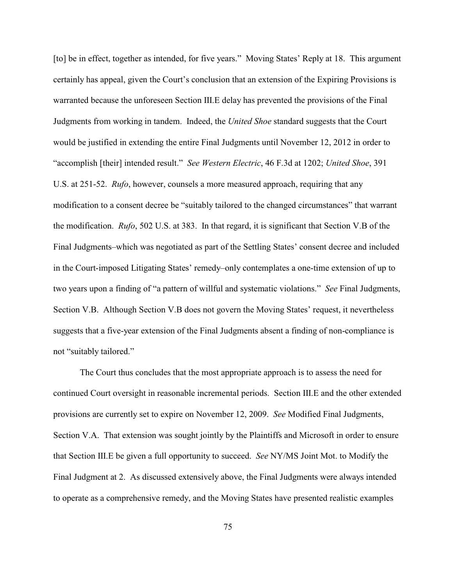[to] be in effect, together as intended, for five years." Moving States' Reply at 18. This argument certainly has appeal, given the Court's conclusion that an extension of the Expiring Provisions is warranted because the unforeseen Section III.E delay has prevented the provisions of the Final Judgments from working in tandem. Indeed, the *United Shoe* standard suggests that the Court would be justified in extending the entire Final Judgments until November 12, 2012 in order to "accomplish [their] intended result." *See Western Electric*, 46 F.3d at 1202; *United Shoe*, 391 U.S. at 251-52. *Rufo*, however, counsels a more measured approach, requiring that any modification to a consent decree be "suitably tailored to the changed circumstances" that warrant the modification. *Rufo*, 502 U.S. at 383. In that regard, it is significant that Section V.B of the Final Judgments–which was negotiated as part of the Settling States' consent decree and included in the Court-imposed Litigating States' remedy–only contemplates a one-time extension of up to two years upon a finding of "a pattern of willful and systematic violations." *See* Final Judgments, Section V.B. Although Section V.B does not govern the Moving States' request, it nevertheless suggests that a five-year extension of the Final Judgments absent a finding of non-compliance is not "suitably tailored."

The Court thus concludes that the most appropriate approach is to assess the need for continued Court oversight in reasonable incremental periods. Section III.E and the other extended provisions are currently set to expire on November 12, 2009. *See* Modified Final Judgments, Section V.A. That extension was sought jointly by the Plaintiffs and Microsoft in order to ensure that Section III.E be given a full opportunity to succeed. *See* NY/MS Joint Mot. to Modify the Final Judgment at 2. As discussed extensively above, the Final Judgments were always intended to operate as a comprehensive remedy, and the Moving States have presented realistic examples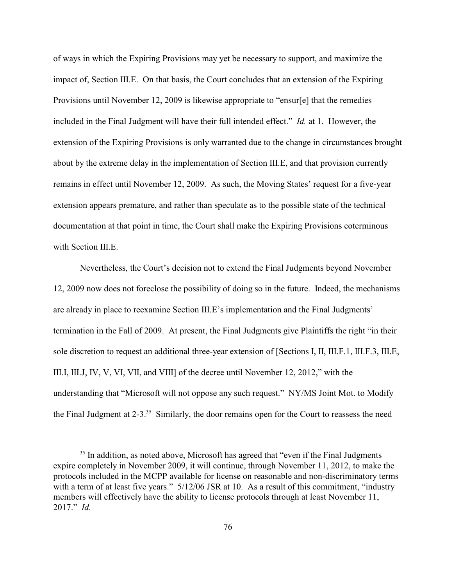of ways in which the Expiring Provisions may yet be necessary to support, and maximize the impact of, Section III.E. On that basis, the Court concludes that an extension of the Expiring Provisions until November 12, 2009 is likewise appropriate to "ensur[e] that the remedies included in the Final Judgment will have their full intended effect." *Id.* at 1. However, the extension of the Expiring Provisions is only warranted due to the change in circumstances brought about by the extreme delay in the implementation of Section III.E, and that provision currently remains in effect until November 12, 2009. As such, the Moving States' request for a five-year extension appears premature, and rather than speculate as to the possible state of the technical documentation at that point in time, the Court shall make the Expiring Provisions coterminous with Section III.E.

Nevertheless, the Court's decision not to extend the Final Judgments beyond November 12, 2009 now does not foreclose the possibility of doing so in the future. Indeed, the mechanisms are already in place to reexamine Section III.E's implementation and the Final Judgments' termination in the Fall of 2009. At present, the Final Judgments give Plaintiffs the right "in their sole discretion to request an additional three-year extension of [Sections I, II, III.F.1, III.F.3, III.E, III.I, III.J, IV, V, VI, VII, and VIII] of the decree until November 12, 2012," with the understanding that "Microsoft will not oppose any such request." NY/MS Joint Mot. to Modify the Final Judgment at 2-3.<sup>35</sup> Similarly, the door remains open for the Court to reassess the need

 $135$  In addition, as noted above, Microsoft has agreed that "even if the Final Judgments" expire completely in November 2009, it will continue, through November 11, 2012, to make the protocols included in the MCPP available for license on reasonable and non-discriminatory terms with a term of at least five years."  $5/12/06$  JSR at 10. As a result of this commitment, "industry members will effectively have the ability to license protocols through at least November 11, 2017." *Id.*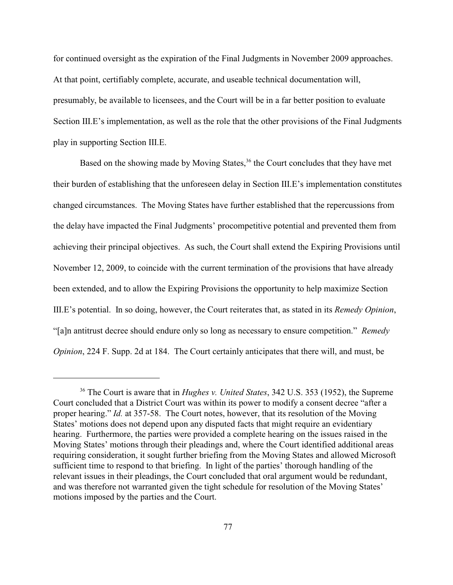for continued oversight as the expiration of the Final Judgments in November 2009 approaches. At that point, certifiably complete, accurate, and useable technical documentation will, presumably, be available to licensees, and the Court will be in a far better position to evaluate Section III.E's implementation, as well as the role that the other provisions of the Final Judgments play in supporting Section III.E.

Based on the showing made by Moving States,<sup>36</sup> the Court concludes that they have met their burden of establishing that the unforeseen delay in Section III.E's implementation constitutes changed circumstances. The Moving States have further established that the repercussions from the delay have impacted the Final Judgments' procompetitive potential and prevented them from achieving their principal objectives. As such, the Court shall extend the Expiring Provisions until November 12, 2009, to coincide with the current termination of the provisions that have already been extended, and to allow the Expiring Provisions the opportunity to help maximize Section III.E's potential. In so doing, however, the Court reiterates that, as stated in its *Remedy Opinion*, "[a]n antitrust decree should endure only so long as necessary to ensure competition." *Remedy Opinion*, 224 F. Supp. 2d at 184. The Court certainly anticipates that there will, and must, be

<sup>&</sup>lt;sup>36</sup> The Court is aware that in *Hughes v. United States*, 342 U.S. 353 (1952), the Supreme Court concluded that a District Court was within its power to modify a consent decree "after a proper hearing." *Id.* at 357-58. The Court notes, however, that its resolution of the Moving States' motions does not depend upon any disputed facts that might require an evidentiary hearing. Furthermore, the parties were provided a complete hearing on the issues raised in the Moving States' motions through their pleadings and, where the Court identified additional areas requiring consideration, it sought further briefing from the Moving States and allowed Microsoft sufficient time to respond to that briefing. In light of the parties' thorough handling of the relevant issues in their pleadings, the Court concluded that oral argument would be redundant, and was therefore not warranted given the tight schedule for resolution of the Moving States' motions imposed by the parties and the Court.